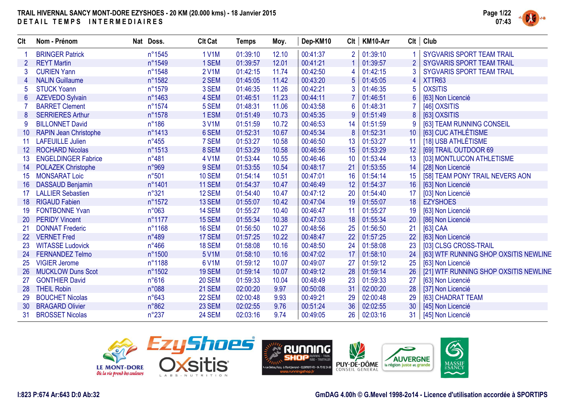

| Clt             | Nom - Prénom                 | Nat Doss.      | <b>Clt Cat</b> | Temps    | Moy.  | Dep-KM10 | Clt            | KM10-Arr | Clt            | Club                                  |
|-----------------|------------------------------|----------------|----------------|----------|-------|----------|----------------|----------|----------------|---------------------------------------|
|                 | <b>BRINGER Patrick</b>       | n°1545         | <b>1 V1M</b>   | 01:39:10 | 12.10 | 00:41:37 | $\overline{2}$ | 01:39:10 | 1              | SYGVARIS SPORT TEAM TRAIL             |
| 2               | <b>REYT Martin</b>           | n°1549         | 1 SEM          | 01:39:57 | 12.01 | 00:41:21 |                | 01:39:57 |                | <b>SYGVARIS SPORT TEAM TRAIL</b>      |
|                 | <b>CURIEN Yann</b>           | n°1548         | <b>2 V1M</b>   | 01:42:15 | 11.74 | 00:42:50 | 4              | 01:42:15 | 3              | <b>SYGVARIS SPORT TEAM TRAIL</b>      |
|                 | <b>NALIN Guillaume</b>       | n°1582         | 2 SEM          | 01:45:05 | 11.42 | 00:43:20 | 5              | 01:45:05 | $\overline{4}$ | XTTR63                                |
| 5               | <b>STUCK Yoann</b>           | n°1579         | 3 SEM          | 01:46:35 | 11.26 | 00:42:21 | 3              | 01:46:35 | 5              | <b>OXSITIS</b>                        |
| 6               | <b>AZEVEDO Sylvain</b>       | n°1463         | 4 SEM          | 01:46:51 | 11.23 | 00:44:11 |                | 01:46:51 |                | [63] Non Licencié                     |
|                 | <b>BARRET Clement</b>        | n°1574         | 5 SEM          | 01:48:31 | 11.06 | 00:43:58 | 6              | 01:48:31 |                | [46] OXSITIS                          |
| 8               | <b>SERRIERES Arthur</b>      | n°1578         | 1 ESM          | 01:51:49 | 10.73 | 00:45:35 | 9              | 01:51:49 | 8              | [63] OXSITIS                          |
| 9               | <b>BILLONNET David</b>       | $n^{\circ}186$ | 3 V1M          | 01:51:59 | 10.72 | 00:46:53 | 14             | 01:51:59 | 9              | [63] TEAM RUNNING CONSEIL             |
| 10 <sup>°</sup> | <b>RAPIN Jean Christophe</b> | n°1413         | 6 SEM          | 01:52:31 | 10.67 | 00:45:34 | 8              | 01:52:31 | 10             | [63] CUC ATHLÉTISME                   |
| 11              | <b>LAFEUILLE Julien</b>      | $n^{\circ}455$ | 7 SEM          | 01:53:27 | 10.58 | 00:46:50 | 13             | 01:53:27 | 11             | [18] USB ATHLÉTISME                   |
| 12 <sup>°</sup> | <b>ROCHARD Nicolas</b>       | n°1513         | 8 SEM          | 01:53:29 | 10.58 | 00:46:56 | 15             | 01:53:29 | 12             | [69] TRAIL OUTDOOR 69                 |
| 13              | <b>ENGELDINGER Fabrice</b>   | $n^{\circ}481$ | 4 V1M          | 01:53:44 | 10.55 | 00:46:46 | 10             | 01:53:44 | 13             | [03] MONTLUCON ATHLETISME             |
| 14              | <b>POLAZEK Christophe</b>    | n°969          | 9 SEM          | 01:53:55 | 10.54 | 00:48:17 | 21             | 01:53:55 | 14             | [28] Non Licencié                     |
| 15              | <b>MONSARAT Loic</b>         | n°501          | <b>10 SEM</b>  | 01:54:14 | 10.51 | 00:47:01 | 16             | 01:54:14 | 15             | [58] TEAM PONY TRAIL NEVERS AON       |
| 16              | <b>DASSAUD Benjamin</b>      | n°1401         | <b>11 SEM</b>  | 01:54:37 | 10.47 | 00:46:49 | 12             | 01:54:37 | 16             | [63] Non Licencié                     |
| 17              | <b>LALLIER Sebastien</b>     | n°321          | 12 SEM         | 01:54:40 | 10.47 | 00:47:12 | 20             | 01:54:40 | 17             | [03] Non Licencié                     |
| 18              | <b>RIGAUD Fabien</b>         | n°1572         | 13 SEM         | 01:55:07 | 10.42 | 00:47:04 | 19             | 01:55:07 | 18             | <b>EZYSHOES</b>                       |
| 19              | <b>FONTBONNE Yvan</b>        | n°063          | 14 SEM         | 01:55:27 | 10.40 | 00:46:47 | 11             | 01:55:27 | 19             | [63] Non Licencié                     |
| <b>20</b>       | <b>PERIDY Vincent</b>        | n°1177         | 15 SEM         | 01:55:34 | 10.38 | 00:47:03 | 18             | 01:55:34 | 20             | [86] Non Licencié                     |
| 21              | <b>DONNAT Frederic</b>       | n°1168         | 16 SEM         | 01:56:50 | 10.27 | 00:48:56 | 25             | 01:56:50 | 21             | [63] CAA                              |
| 22              | <b>VERNET Fred</b>           | $n^{\circ}489$ | 17 SEM         | 01:57:25 | 10.22 | 00:48:47 | 22             | 01:57:25 | 22             | [63] Non Licencié                     |
| 23              | <b>WITASSE Ludovick</b>      | $n^{\circ}466$ | <b>18 SEM</b>  | 01:58:08 | 10.16 | 00:48:50 | 24             | 01:58:08 | 23             | [03] CLSG CROSS-TRAIL                 |
| 24              | <b>FERNANDEZ Telmo</b>       | n°1500         | 5 V1M          | 01:58:10 | 10.16 | 00:47:02 | 17             | 01:58:10 | 24             | [63] WTF RUNNING SHOP OXSITIS NEWLINE |
| 25              | <b>VIGIER Jerome</b>         | n°1188         | 6 V1M          | 01:59:12 | 10.07 | 00:49:07 | 27             | 01:59:12 | 25             | [63] Non Licencié                     |
| 26              | <b>MUCKLOW Duns Scot</b>     | n°1502         | <b>19 SEM</b>  | 01:59:14 | 10.07 | 00:49:12 | 28             | 01:59:14 | 26             | [21] WTF RUNNING SHOP OXSITIS NEWLINE |
| 27              | <b>GONTHIER David</b>        | $n^{\circ}616$ | <b>20 SEM</b>  | 01:59:33 | 10.04 | 00:48:49 | 23             | 01:59:33 | 27             | [63] Non Licencié                     |
| 28              | <b>THEIL Robin</b>           | n°088          | 21 SEM         | 02:00:20 | 9.97  | 00:50:08 | 31             | 02:00:20 | 28             | [37] Non Licencié                     |
| 29              | <b>BOUCHET Nicolas</b>       | $n^{\circ}643$ | 22 SEM         | 02:00:48 | 9.93  | 00:49:21 | 29             | 02:00:48 | 29             | [63] CHADRAT TEAM                     |
| 30 <sup>°</sup> | <b>BRAGARD Olivier</b>       | n°862          | 23 SEM         | 02:02:55 | 9.76  | 00:51:24 | 36             | 02:02:55 | 30             | [45] Non Licencié                     |
| 31              | <b>BROSSET Nicolas</b>       | $n^{\circ}237$ | 24 SEM         | 02:03:16 | 9.74  | 00:49:05 | 26             | 02:03:16 | 31             | [45] Non Licencié                     |





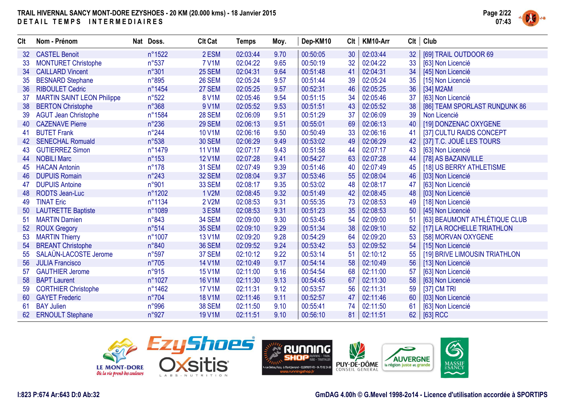

| Clt | Nom - Prénom                      | Nat Doss.      | <b>Clt Cat</b> | Temps    | Moy. | Dep-KM10 | Clt | KM10-Arr |    | Clt   Club                    |
|-----|-----------------------------------|----------------|----------------|----------|------|----------|-----|----------|----|-------------------------------|
| 32  | <b>CASTEL Benoit</b>              | n°1522         | 2 ESM          | 02:03:44 | 9.70 | 00:50:05 | 30  | 02:03:44 | 32 | [69] TRAIL OUTDOOR 69         |
| 33  | <b>MONTURET Christophe</b>        | $n^{\circ}537$ | <b>7 V1M</b>   | 02:04:22 | 9.65 | 00:50:19 | 32  | 02:04:22 | 33 | [63] Non Licencié             |
| 34  | <b>CAILLARD Vincent</b>           | n°301          | 25 SEM         | 02:04:31 | 9.64 | 00:51:48 | 41  | 02:04:31 | 34 | [45] Non Licencié             |
| 35  | <b>BESNARD Stephane</b>           | n°895          | <b>26 SEM</b>  | 02:05:24 | 9.57 | 00:51:44 | 39  | 02:05:24 | 35 | [15] Non Licencié             |
| 36  | <b>RIBOULET Cedric</b>            | n°1454         | 27 SEM         | 02:05:25 | 9.57 | 00:52:31 | 46  | 02:05:25 | 36 | [34] M2AM                     |
| 37  | <b>MARTIN SAINT LEON Philippe</b> | n°522          | 8 V1M          | 02:05:46 | 9.54 | 00:51:15 | 34  | 02:05:46 | 37 | [63] Non Licencié             |
| 38  | <b>BERTON Christophe</b>          | $n^{\circ}368$ | 9 V1M          | 02:05:52 | 9.53 | 00:51:51 | 43  | 02:05:52 | 38 | [86] TEAM SPORLAST RUNDUNK 86 |
| 39  | <b>AGUT Jean Christophe</b>       | n°1584         | <b>28 SEM</b>  | 02:06:09 | 9.51 | 00:51:29 | 37  | 02:06:09 | 39 | Non Licencié                  |
| 40  | <b>CAZENAVE Pierre</b>            | $n^{\circ}236$ | <b>29 SEM</b>  | 02:06:13 | 9.51 | 00:55:01 | 69  | 02:06:13 | 40 | [19] DONZENAC OXYGENE         |
| 41  | <b>BUTET Frank</b>                | $n^{\circ}244$ | <b>10 V1M</b>  | 02:06:16 | 9.50 | 00:50:49 | 33  | 02:06:16 | 41 | [37] CULTU RAIDS CONCEPT      |
| 42  | <b>SENECHAL Romuald</b>           | n°538          | <b>30 SEM</b>  | 02:06:29 | 9.49 | 00:53:02 | 49  | 02:06:29 | 42 | [37] T.C. JOUÉ LES TOURS      |
| 43  | <b>GUTIERREZ Simon</b>            | n°1479         | <b>11 V1M</b>  | 02:07:17 | 9.43 | 00:51:58 | 44  | 02:07:17 | 43 | [63] Non Licencié             |
| 44  | <b>NOBILI Marc</b>                | $n^{\circ}153$ | <b>12 V1M</b>  | 02:07:28 | 9.41 | 00:54:27 | 63  | 02:07:28 | 44 | [78] AS BAZAINVILLE           |
| 45  | <b>HACAN Antonin</b>              | $n^{\circ}178$ | <b>31 SEM</b>  | 02:07:49 | 9.39 | 00:51:46 | 40  | 02:07:49 | 45 | [18] US BERRY ATHLETISME      |
| 46  | <b>DUPUIS Romain</b>              | $n^{\circ}243$ | 32 SEM         | 02:08:04 | 9.37 | 00:53:46 | 55  | 02:08:04 | 46 | [03] Non Licencié             |
| 47  | <b>DUPUIS Antoine</b>             | n°901          | 33 SEM         | 02:08:17 | 9.35 | 00:53:02 | 48  | 02:08:17 | 47 | [63] Non Licencié             |
| 48  | <b>RODTS Jean-Luc</b>             | n°1202         | <b>1 V2M</b>   | 02:08:45 | 9.32 | 00:51:49 | 42  | 02:08:45 | 48 | [03] Non Licencié             |
| 49  | <b>TINAT Eric</b>                 | n°1134         | 2 V2M          | 02:08:53 | 9.31 | 00:55:35 | 73  | 02:08:53 | 49 | [18] Non Licencié             |
| 50  | <b>LAUTRETTE Baptiste</b>         | n°1089         | 3 ESM          | 02:08:53 | 9.31 | 00:51:23 | 35  | 02:08:53 | 50 | [45] Non Licencié             |
| 51  | <b>MARTIN Damien</b>              | n°843          | <b>34 SEM</b>  | 02:09:00 | 9.30 | 00:53:45 | 54  | 02:09:00 | 51 | [63] BEAUMONT ATHLÉTIQUE CLUB |
| 52  | <b>ROUX Gregory</b>               | n°514          | <b>35 SEM</b>  | 02:09:10 | 9.29 | 00:51:34 | 38  | 02:09:10 | 52 | [17] LA ROCHELLE TRIATHLON    |
| 53  | <b>MARTIN Thierry</b>             | n°1007         | <b>13 V1M</b>  | 02:09:20 | 9.28 | 00:54:29 | 64  | 02:09:20 | 53 | [58] MORVAN OXYGENE           |
| 54  | <b>BREANT Christophe</b>          | n°840          | <b>36 SEM</b>  | 02:09:52 | 9.24 | 00:53:42 | 53  | 02:09:52 | 54 | [15] Non Licencié             |
| 55  | SALAÜN-LACOSTE Jerome             | n°597          | 37 SEM         | 02:10:12 | 9.22 | 00:53:14 | 51  | 02:10:12 | 55 | [19] BRIVE LIMOUSIN TRIATHLON |
| 56  | <b>JULIA Francisco</b>            | $n^{\circ}705$ | <b>14 V1M</b>  | 02:10:49 | 9.17 | 00:54:14 | 58  | 02:10:49 | 56 | [13] Non Licencié             |
| 57  | <b>GAUTHIER Jerome</b>            | n°915          | <b>15 V1M</b>  | 02:11:00 | 9.16 | 00:54:54 | 68  | 02:11:00 | 57 | [63] Non Licencié             |
| 58  | <b>BAPT Laurent</b>               | n°1027         | <b>16 V1M</b>  | 02:11:30 | 9.13 | 00:54:45 | 67  | 02:11:30 | 58 | [63] Non Licencié             |
| 59  | <b>CORTHIER Christophe</b>        | n°1462         | <b>17 V1M</b>  | 02:11:31 | 9.12 | 00:53:57 | 56  | 02:11:31 | 59 | [37] CM TRI                   |
| 60  | <b>GAYET Frederic</b>             | $n^{\circ}704$ | <b>18 V1M</b>  | 02:11:46 | 9.11 | 00:52:57 | 47  | 02:11:46 | 60 | [03] Non Licencié             |
| -61 | <b>BAY Julien</b>                 | n°996          | <b>38 SEM</b>  | 02:11:50 | 9.10 | 00:55:41 | 74  | 02:11:50 | 61 | [63] Non Licencié             |
| 62  | <b>ERNOULT Stephane</b>           | n°927          | <b>19 V1M</b>  | 02:11:51 | 9.10 | 00:56:10 | 81  | 02:11:51 |    | 62 [63] RCC                   |



**GmDAG 4.00h © G.Mevel 1998-2o14 - Licence d'utilisation accordée à SPORTIPS**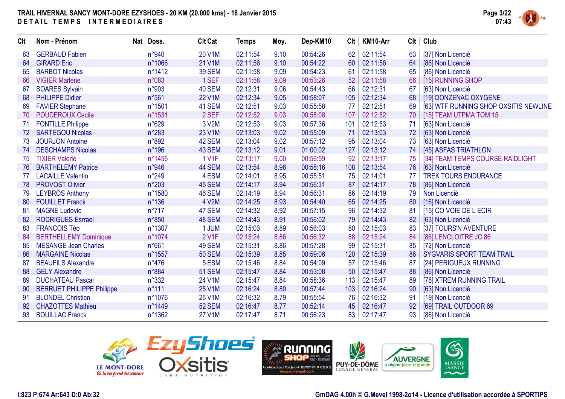

| Clt | Nom - Prénom                     | Nat Doss.       | <b>Clt Cat</b> | <b>Temps</b> | Moy. | Dep-KM10 | Clt | KM10-Arr | Clt | Club                                  |
|-----|----------------------------------|-----------------|----------------|--------------|------|----------|-----|----------|-----|---------------------------------------|
| 63  | <b>GERBAUD Fabien</b>            | n°940           | 20 V1M         | 02:11:54     | 9.10 | 00:54:26 | 62  | 02:11:54 | 63  | [37] Non Licencié                     |
| 64  | <b>GIRARD Eric</b>               | n°1066          | 21 V1M         | 02:11:56     | 9.10 | 00:54:22 | 60  | 02:11:56 | 64  | [86] Non Licencié                     |
| 65  | <b>BARBOT Nicolas</b>            | n°1412          | <b>39 SEM</b>  | 02:11:58     | 9.09 | 00:54:23 | 61  | 02:11:58 | 65  | [86] Non Licencié                     |
| 66  | <b>VIGIER Marlene</b>            | n°083           | 1 SEF          | 02:11:58     | 9.09 | 00:53:26 | 52  | 02:11:58 | 66  | [15] RUNNING SHOP                     |
| 67  | <b>SOARES Sylvain</b>            | n°903           | 40 SEM         | 02:12:31     | 9.06 | 00:54:43 | 66  | 02:12:31 | 67  | [63] Non Licencié                     |
| 68  | <b>PHILIPPE Didier</b>           | n°561           | <b>22 V1M</b>  | 02:12:34     | 9.05 | 00:58:07 | 105 | 02:12:34 | 68  | [19] DONZENAC OXYGENE                 |
| 69  | <b>FAVIER Stephane</b>           | n°1501          | 41 SEM         | 02:12:51     | 9.03 | 00:55:58 | 77  | 02:12:51 | 69  | [63] WTF RUNNING SHOP OXSITIS NEWLINE |
| 70  | <b>POUDEROUX Cecile</b>          | n°1531          | 2 SEF          | 02:12:52     | 9.03 | 00:58:08 | 107 | 02:12:52 | 70  | [15] TEAM UTPMA TOM 15                |
| 71  | <b>FONTILLE Philippe</b>         | n°629           | 3 V2M          | 02:12:53     | 9.03 | 00:57:36 | 101 | 02:12:53 | 71  | [63] Non Licencié                     |
| 72  | <b>SARTEGOU Nicolas</b>          | $n^{\circ}283$  | 23 V1M         | 02:13:03     | 9.02 | 00:55:09 | 71  | 02:13:03 | 72  | [63] Non Licencié                     |
| 73  | <b>JOURJON Antoine</b>           | n°892           | 42 SEM         | 02:13:04     | 9.02 | 00:57:12 | 95  | 02:13:04 | 73  | [63] Non Licencié                     |
| 74  | <b>DESCHAMPS Nicolas</b>         | $n^{\circ}$ 196 | 43 SEM         | 02:13:12     | 9.01 | 01:00:02 | 127 | 02:13:12 | 74  | [45] ASFAS TRIATHLON                  |
| 75  | <b>TIXIER Valerie</b>            | n°1456          | 1 V1F          | 02:13:17     | 9.00 | 00:56:59 | 92  | 02:13:17 | 75  | [34] TEAM TEMPS COURSE RAIDLIGHT      |
| 76  | <b>BARTHELEMY Patrice</b>        | n°946           | 44 SEM         | 02:13:54     | 8.96 | 00:58:16 | 108 | 02:13:54 | 76  | [63] Non Licencié                     |
| 77  | <b>LACAILLE Valentin</b>         | $n^{\circ}249$  | 4 ESM          | 02:14:01     | 8.95 | 00:55:51 | 75  | 02:14:01 | 77  | <b>TREK TOURS ENDURANCE</b>           |
| 78  | <b>PROVOST Olivier</b>           | $n^{\circ}203$  | 45 SEM         | 02:14:17     | 8.94 | 00:56:31 | 87  | 02:14:17 | 78  | [86] Non Licencié                     |
| 79  | <b>LEYBROS Anthony</b>           | n°1580          | <b>46 SEM</b>  | 02:14:19     | 8.94 | 00:56:31 | 86  | 02:14:19 | 79  | Non Licencié                          |
| 80  | <b>FOUILLET Franck</b>           | $n^{\circ}136$  | 4 V2M          | 02:14:25     | 8.93 | 00:54:40 | 65  | 02:14:25 | 80  | [16] Non Licencié                     |
| 81  | <b>MAGNE Ludovic</b>             | $n^{\circ}717$  | 47 SEM         | 02:14:32     | 8.92 | 00:57:15 | 96  | 02:14:32 | 81  | [15] CO VOIE DE L ECIR                |
| 82  | <b>RODRIGUES Esrrael</b>         | n°850           | 48 SEM         | 02:14:43     | 8.91 | 00:56:02 | 79  | 02:14:43 | 82  | [63] Non Licencié                     |
| 83  | <b>FRANCOIS Téo</b>              | n°1307          | 1 JUM          | 02:15:03     | 8.89 | 00:56:03 | 80  | 02:15:03 | 83  | [37] TOURS'N AVENTURE                 |
| 84  | <b>BERTHELLEMY Dominique</b>     | n°1074          | 2 V1F          | 02:15:24     | 8.86 | 00:56:32 | 88  | 02:15:24 | 84  | [86] LENCLOITRE JC 86                 |
| 85  | <b>MESANGE Jean Charles</b>      | n°661           | 49 SEM         | 02:15:31     | 8.86 | 00:57:28 | 99  | 02:15:31 | 85  | [72] Non Licencié                     |
| 86  | <b>MARGAINE Nicolas</b>          | n°1557          | <b>50 SEM</b>  | 02:15:39     | 8.85 | 00:59:06 | 120 | 02:15:39 | 86  | <b>SYGVARIS SPORT TEAM TRAIL</b>      |
| 87  | <b>BEAUFILS Alexandre</b>        | $n^{\circ}476$  | 5 ESM          | 02:15:46     | 8.84 | 00:54:09 | 57  | 02:15:46 | 87  | [24] PERIGUEUX RUNNING                |
| 88  | <b>GELY Alexandre</b>            | n°884           | <b>51 SEM</b>  | 02:15:47     | 8.84 | 00:53:08 | 50  | 02:15:47 | 88  | [86] Non Licencié                     |
| 89  | <b>DUCHATEAU Pascal</b>          | n°332           | 24 V1M         | 02:15:47     | 8.84 | 00:58:36 | 113 | 02:15:47 | 89  | [78] XTREM RUNNING TRAIL              |
| 90  | <b>BERRUET PHILIPPE Philippe</b> | $n^{\circ}111$  | 25 V1M         | 02:16:24     | 8.80 | 00:57:44 | 103 | 02:16:24 | 90  | [63] Non Licencié                     |
| 91  | <b>BLONDEL Christian</b>         | n°1076          | 26 V1M         | 02:16:32     | 8.79 | 00:55:54 | 76  | 02:16:32 | 91  | [19] Non Licencié                     |
| 92  | <b>CHAZOTTES Mathieu</b>         | n°1449          | <b>52 SEM</b>  | 02:16:47     | 8.77 | 00:52:14 | 45  | 02:16:47 | 92  | [69] TRAIL OUTDOOR 69                 |
| 93  | <b>BOUILLAC Franck</b>           | n°1362          | <b>27 V1M</b>  | 02:17:47     | 8.71 | 00:56:23 | 83  | 02:17:47 | 93  | [86] Non Licencié                     |



**AUVERGNE** 

6

MASSIF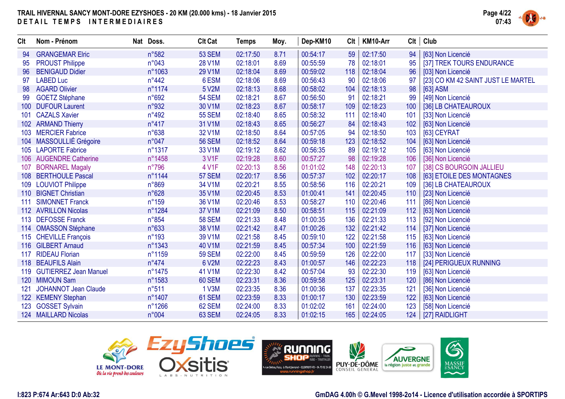

| <b>CIt</b>       | Nom - Prénom                | Nat Doss.       | <b>Clt Cat</b> | <b>Temps</b> | Moy. | Dep-KM10 | Clt | KM10-Arr | <b>CIt</b> | Club                               |
|------------------|-----------------------------|-----------------|----------------|--------------|------|----------|-----|----------|------------|------------------------------------|
| 94               | <b>GRANGEMAR Elric</b>      | n°582           | <b>53 SEM</b>  | 02:17:50     | 8.71 | 00:54:17 | 59  | 02:17:50 | 94         | [63] Non Licencié                  |
| 95               | <b>PROUST Philippe</b>      | n°043           | 28 V1M         | 02:18:01     | 8.69 | 00:55:59 | 78  | 02:18:01 | 95         | [37] TREK TOURS ENDURANCE          |
| 96               | <b>BENIGAUD Didier</b>      | n°1063          | 29 V1M         | 02:18:04     | 8.69 | 00:59:02 | 118 | 02:18:04 | 96         | [03] Non Licencié                  |
| 97               | <b>LABED Luc</b>            | $n^{\circ}442$  | 6 ESM          | 02:18:06     | 8.69 | 00:56:43 | 90  | 02:18:06 | 97         | [23] CO KM 42 SAINT JUST LE MARTEL |
| 98               | <b>AGARD Olivier</b>        | n°1174          | 5 V2M          | 02:18:13     | 8.68 | 00:58:02 | 104 | 02:18:13 | 98         | [63] ASM                           |
| 99               | <b>GOETZ Stéphane</b>       | n°692           | <b>54 SEM</b>  | 02:18:21     | 8.67 | 00:56:50 | 91  | 02:18:21 | 99         | [49] Non Licencié                  |
| 100 <sub>1</sub> | <b>DUFOUR Laurent</b>       | n°932           | 30 V1M         | 02:18:23     | 8.67 | 00:58:17 | 109 | 02:18:23 | 100        | [36] LB CHATEAUROUX                |
| 101              | <b>CAZALS Xavier</b>        | $n^{\circ}492$  | <b>55 SEM</b>  | 02:18:40     | 8.65 | 00:58:32 | 111 | 02:18:40 | 101        | [33] Non Licencié                  |
|                  | 102 ARMAND Thierry          | $n^{\circ}417$  | 31 V1M         | 02:18:43     | 8.65 | 00:56:27 | 84  | 02:18:43 | 102        | [63] Non Licencié                  |
| 103              | <b>MERCIER Fabrice</b>      | n°638           | 32 V1M         | 02:18:50     | 8.64 | 00:57:05 | 94  | 02:18:50 | 103        | [63] CEYRAT                        |
|                  | 104 MASSOULLIÉ Grégoire     | n°047           | <b>56 SEM</b>  | 02:18:52     | 8.64 | 00:59:18 | 123 | 02:18:52 | 104        | [63] Non Licencié                  |
|                  | 105 LAPORTE Fabrice         | n°1317          | 33 V1M         | 02:19:12     | 8.62 | 00:56:35 | 89  | 02:19:12 | 105        | [63] Non Licencié                  |
| 106              | <b>AUGENDRE Catherine</b>   | n°1458          | 3 V1F          | 02:19:28     | 8.60 | 00:57:27 | 98  | 02:19:28 | 106        | [36] Non Licencié                  |
| 107              | <b>BORNAREL Magaly</b>      | $n^{\circ}796$  | 4 V1F          | 02:20:13     | 8.56 | 01:01:02 | 148 | 02:20:13 | 107        | [38] CS BOURGOIN JALLIEU           |
|                  | 108 BERTHOULE Pascal        | n°1144          | <b>57 SEM</b>  | 02:20:17     | 8.56 | 00:57:37 | 102 | 02:20:17 | 108        | [63] ETOILE DES MONTAGNES          |
|                  | 109 LOUVIOT Philippe        | n°869           | 34 V1M         | 02:20:21     | 8.55 | 00:58:56 | 116 | 02:20:21 | 109        | [36] LB CHATEAUROUX                |
|                  | 110 BIGNET Christian        | n°628           | 35 V1M         | 02:20:45     | 8.53 | 01:00:41 | 141 | 02:20:45 | 110        | [23] Non Licencié                  |
| 111              | <b>SIMONNET Franck</b>      | $n^{\circ}159$  | 36 V1M         | 02:20:46     | 8.53 | 00:58:27 | 110 | 02:20:46 | 111        | [86] Non Licencié                  |
|                  | 112 AVRILLON Nicolas        | n°1284          | 37 V1M         | 02:21:09     | 8.50 | 00:58:51 | 115 | 02:21:09 | 112        | [63] Non Licencié                  |
|                  | 113 DEFOSSE Franck          | $n^{\circ}854$  | <b>58 SEM</b>  | 02:21:33     | 8.48 | 01:00:35 | 136 | 02:21:33 | 113        | [92] Non Licencié                  |
|                  | 114 OMASSON Stéphane        | n°633           | 38 V1M         | 02:21:42     | 8.47 | 01:00:26 | 132 | 02:21:42 | 114        | [37] Non Licencié                  |
|                  | 115 CHEVILLE François       | $n^{\circ}$ 193 | 39 V1M         | 02:21:58     | 8.45 | 00:59:10 | 122 | 02:21:58 | 115        | [63] Non Licencié                  |
|                  | 116 GILBERT Arnaud          | n°1343          | 40 V1M         | 02:21:59     | 8.45 | 00:57:34 | 100 | 02:21:59 | 116        | [63] Non Licencié                  |
| 117              | <b>RIDEAU Florian</b>       | n°1159          | <b>59 SEM</b>  | 02:22:00     | 8.45 | 00:59:59 | 126 | 02:22:00 | 117        | [33] Non Licencié                  |
|                  | 118 BEAUFILS Alain          | $n^{\circ}474$  | 6 V2M          | 02:22:23     | 8.43 | 01:00:57 | 146 | 02:22:23 | 118        | [24] PERIGUEUX RUNNING             |
|                  | 119 GUTIERREZ Jean Manuel   | n°1475          | 41 V1M         | 02:22:30     | 8.42 | 00:57:04 | 93  | 02:22:30 | 119        | [63] Non Licencié                  |
| 120 <sub>1</sub> | <b>MIMOUN Sam</b>           | n°1583          | 60 SEM         | 02:23:31     | 8.36 | 00:59:58 | 125 | 02:23:31 | 120        | [86] Non Licencié                  |
| 121              | <b>JOHANNOT Jean Claude</b> | n°511           | 1 V3M          | 02:23:35     | 8.36 | 01:00:36 | 137 | 02:23:35 | 121        | [36] Non Licencié                  |
|                  | 122 KEMENY Stephan          | n°1407          | 61 SEM         | 02:23:59     | 8.33 | 01:00:17 | 130 | 02:23:59 | 122        | [63] Non Licencié                  |
| 123              | <b>GOSSET Sylvain</b>       | n°1266          | 62 SEM         | 02:24:00     | 8.33 | 01:02:02 | 161 | 02:24:00 | 123        | [58] Non Licencié                  |
|                  | 124 MAILLARD Nicolas        | n°004           | 63 SEM         | 02:24:05     | 8.33 | 01:02:15 | 165 | 02:24:05 |            | 124   [27] RAIDLIGHT               |





#### **I:823 P:674 Ar:643 D:0 Ab:32**

#### **GmDAG 4.00h © G.Mevel 1998-2o14 - Licence d'utilisation accordée à SPORTIPS**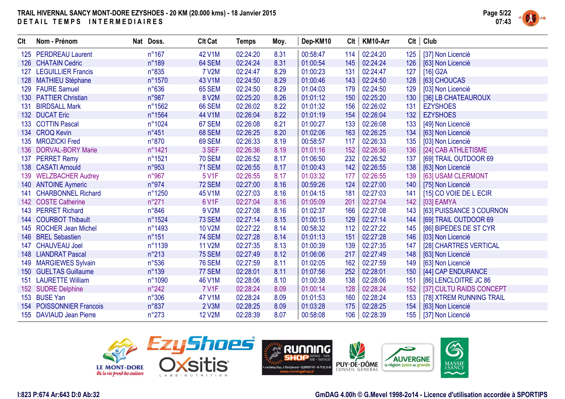

| Clt              | Nom - Prénom              | Nat Doss.      | <b>Clt Cat</b> | <b>Temps</b> | Moy. | Dep-KM10 | Clt | KM10-Arr | Clt | Club                     |
|------------------|---------------------------|----------------|----------------|--------------|------|----------|-----|----------|-----|--------------------------|
|                  | 125 PERDREAU Laurent      | $n^{\circ}167$ | 42 V1M         | 02:24:20     | 8.31 | 00:58:47 | 114 | 02:24:20 | 125 | [37] Non Licencié        |
|                  | 126 CHATAIN Cedric        | $n^{\circ}189$ | 64 SEM         | 02:24:24     | 8.31 | 01:00:54 | 145 | 02:24:24 | 126 | [63] Non Licencié        |
| 127              | <b>LEGUILLIER Francis</b> | n°835          | <b>7 V2M</b>   | 02:24:47     | 8.29 | 01:00:23 | 131 | 02:24:47 | 127 | [16] G2A                 |
|                  | 128 MATHIEU Stéphane      | n°1570         | 43 V1M         | 02:24:50     | 8.29 | 01:00:46 | 143 | 02:24:50 | 128 | [63] CHOUCAS             |
| 129              | <b>FAURE Samuel</b>       | $n^{\circ}636$ | <b>65 SEM</b>  | 02:24:50     | 8.29 | 01:04:03 | 179 | 02:24:50 | 129 | [03] Non Licencié        |
| 130 <sub>1</sub> | <b>PATTIER Christian</b>  | n°987          | 8 V2M          | 02:25:20     | 8.26 | 01:01:12 | 150 | 02:25:20 | 130 | [36] LB CHATEAUROUX      |
| 131              | <b>BIRDSALL Mark</b>      | n°1562         | <b>66 SEM</b>  | 02:26:02     | 8.22 | 01:01:32 | 156 | 02:26:02 | 131 | <b>EZYSHOES</b>          |
|                  | 132 DUCAT Eric            | n°1564         | 44 V1M         | 02:26:04     | 8.22 | 01:01:19 | 154 | 02:26:04 | 132 | <b>EZYSHOES</b>          |
|                  | 133 COTTIN Pascal         | n°1024         | 67 SEM         | 02:26:08     | 8.21 | 01:00:27 | 133 | 02:26:08 | 133 | [49] Non Licencié        |
|                  | 134 CROQ Kevin            | $n^{\circ}451$ | <b>68 SEM</b>  | 02:26:25     | 8.20 | 01:02:06 | 163 | 02:26:25 | 134 | [63] Non Licencié        |
|                  | 135 MROZICKI Fred         | n°870          | <b>69 SEM</b>  | 02:26:33     | 8.19 | 00:58:57 | 117 | 02:26:33 | 135 | [03] Non Licencié        |
|                  | 136 DORVAL-BORY Marie     | n°1421         | 3 SEF          | 02:26:36     | 8.19 | 01:01:16 | 152 | 02:26:36 | 136 | [24] CAB ATHLETISME      |
| 137              | <b>PERRET Remy</b>        | n°1521         | <b>70 SEM</b>  | 02:26:52     | 8.17 | 01:06:50 | 232 | 02:26:52 | 137 | [69] TRAIL OUTDOOR 69    |
| 138              | <b>CASATI Arnould</b>     | n°953          | <b>71 SEM</b>  | 02:26:55     | 8.17 | 01:00:43 | 142 | 02:26:55 | 138 | [63] Non Licencié        |
| 139              | <b>WELZBACHER Audrey</b>  | n°967          | 5 V1F          | 02:26:55     | 8.17 | 01:03:32 | 177 | 02:26:55 | 139 | [63] USAM CLERMONT       |
|                  | 140 ANTOINE Aymeric       | n°974          | <b>72 SEM</b>  | 02:27:00     | 8.16 | 00:59:26 | 124 | 02:27:00 | 140 | [75] Non Licencié        |
| 141              | <b>CHARBONNEL Richard</b> | n°1250         | 45 V1M         | 02:27:03     | 8.16 | 01:04:15 | 181 | 02:27:03 | 141 | [15] CO VOIE DE L ECIR   |
|                  | 142 COSTE Catherine       | $n^{\circ}271$ | 6 V1F          | 02:27:04     | 8.16 | 01:05:09 | 201 | 02:27:04 | 142 | $[03]$ EAMYA             |
| 143              | <b>PERRET Richard</b>     | $n^{\circ}846$ | 9 V2M          | 02:27:08     | 8.16 | 01:02:37 | 166 | 02:27:08 | 143 | [63] PUISSANCE 3 COURNON |
|                  | 144 COURBOT Thibault      | n°1524         | <b>73 SEM</b>  | 02:27:14     | 8.15 | 01:00:15 | 129 | 02:27:14 | 144 | [69] TRAIL OUTDOOR 69    |
| 145              | <b>ROCHER Jean Michel</b> | n°1493         | <b>10 V2M</b>  | 02:27:22     | 8.14 | 00:58:32 | 112 | 02:27:22 | 145 | [86] BIPEDES DE ST CYR   |
| 146              | <b>BREL Sebastien</b>     | $n^{\circ}151$ | <b>74 SEM</b>  | 02:27:28     | 8.14 | 01:01:13 | 151 | 02:27:28 | 146 | [03] Non Licencié        |
| 147              | <b>CHAUVEAU Joel</b>      | n°1139         | <b>11 V2M</b>  | 02:27:35     | 8.13 | 01:00:39 | 139 | 02:27:35 | 147 | [28] CHARTRES VERTICAL   |
| 148              | <b>LIANDRAT Pascal</b>    | $n^{\circ}213$ | <b>75 SEM</b>  | 02:27:49     | 8.12 | 01:06:06 | 217 | 02:27:49 | 148 | [63] Non Licencié        |
|                  | 149 MARGIEWES Sylvain     | $n^{\circ}536$ | <b>76 SEM</b>  | 02:27:59     | 8.11 | 01:02:05 | 162 | 02:27:59 | 149 | [63] Non Licencié        |
|                  | 150 GUELTAS Guillaume     | $n^{\circ}139$ | 77 SEM         | 02:28:01     | 8.11 | 01:07:56 | 252 | 02:28:01 | 150 | [44] CAP ENDURANCE       |
| 151              | <b>LAURETTE William</b>   | n°1090         | 46 V1M         | 02:28:06     | 8.10 | 01:00:38 | 138 | 02:28:06 | 151 | [86] LENCLOITRE JC 86    |
|                  | 152 SUDRE Delphine        | $n^{\circ}242$ | <b>7 V1F</b>   | 02:28:24     | 8.09 | 01:00:14 | 128 | 02:28:24 | 152 | [37] CULTU RAIDS CONCEPT |
|                  | 153 BUSE Yan              | $n^{\circ}306$ | 47 V1M         | 02:28:24     | 8.09 | 01:01:53 | 160 | 02:28:24 | 153 | [78] XTREM RUNNING TRAIL |
|                  | 154 POISSONNIER Francois  | n°837          | 2 V3M          | 02:28:25     | 8.09 | 01:03:28 | 175 | 02:28:25 | 154 | [63] Non Licencié        |
|                  | 155 DAVIAUD Jean Pierre   | $n^{\circ}273$ | <b>12 V2M</b>  | 02:28:39     | 8.07 | 00:58:08 | 106 | 02:28:39 |     | 155   [37] Non Licencié  |

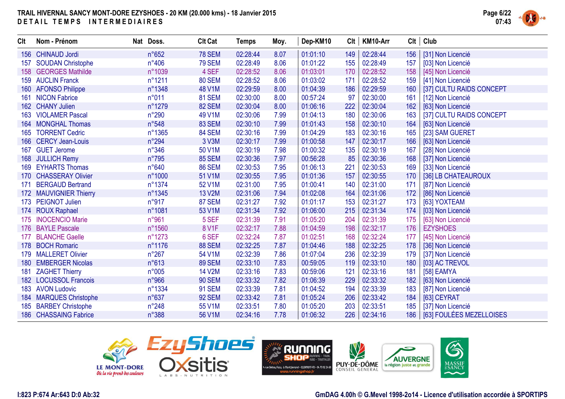

| <b>Clt</b> | Nom - Prénom              | Nat Doss.      | <b>Clt Cat</b> | <b>Temps</b> | Moy. | Dep-KM10 | Clt | KM10-Arr | Clt | Club                     |
|------------|---------------------------|----------------|----------------|--------------|------|----------|-----|----------|-----|--------------------------|
| 156        | <b>CHINAUD Jordi</b>      | n°652          | <b>78 SEM</b>  | 02:28:44     | 8.07 | 01:01:10 | 149 | 02:28:44 | 156 | [31] Non Licencié        |
| 157        | <b>SOUDAN Christophe</b>  | $n^{\circ}406$ | <b>79 SEM</b>  | 02:28:49     | 8.06 | 01:01:22 | 155 | 02:28:49 | 157 | [03] Non Licencié        |
|            | 158 GEORGES Mathilde      | n°1039         | 4 SEF          | 02:28:52     | 8.06 | 01:03:01 | 170 | 02:28:52 | 158 | [45] Non Licencié        |
|            | 159 AUCLIN Franck         | n°1211         | <b>80 SEM</b>  | 02:28:52     | 8.06 | 01:03:02 | 171 | 02:28:52 | 159 | [41] Non Licencié        |
| 160        | <b>AFONSO Philippe</b>    | n°1348         | 48 V1M         | 02:29:59     | 8.00 | 01:04:39 | 186 | 02:29:59 | 160 | [37] CULTU RAIDS CONCEPT |
| 161        | <b>NICON Fabrice</b>      | n°011          | <b>81 SEM</b>  | 02:30:00     | 8.00 | 00:57:24 | 97  | 02:30:00 | 161 | [12] Non Licencié        |
|            | 162 CHANY Julien          | n°1279         | <b>82 SEM</b>  | 02:30:04     | 8.00 | 01:06:16 | 222 | 02:30:04 | 162 | [63] Non Licencié        |
|            | 163 VIOLAMER Pascal       | $n^{\circ}290$ | 49 V1M         | 02:30:06     | 7.99 | 01:04:13 | 180 | 02:30:06 | 163 | [37] CULTU RAIDS CONCEPT |
|            | 164 MONGHAL Thomas        | n°548          | 83 SEM         | 02:30:10     | 7.99 | 01:01:43 | 158 | 02:30:10 | 164 | [63] Non Licencié        |
| 165        | <b>TORRENT Cedric</b>     | n°1365         | 84 SEM         | 02:30:16     | 7.99 | 01:04:29 | 183 | 02:30:16 | 165 | [23] SAM GUERET          |
| 166        | <b>CERCY Jean-Louis</b>   | $n^{\circ}294$ | 3 V3M          | 02:30:17     | 7.99 | 01:00:58 | 147 | 02:30:17 | 166 | [63] Non Licencié        |
| 167        | <b>GUET Jerome</b>        | $n^{\circ}346$ | 50 V1M         | 02:30:19     | 7.98 | 01:00:32 | 135 | 02:30:19 | 167 | [28] Non Licencié        |
| 168        | <b>JULLICH Remy</b>       | $n^{\circ}795$ | <b>85 SEM</b>  | 02:30:36     | 7.97 | 00:56:28 | 85  | 02:30:36 | 168 | [37] Non Licencié        |
| 169        | <b>EYHARTS Thomas</b>     | n°640          | <b>86 SEM</b>  | 02:30:53     | 7.95 | 01:06:13 | 221 | 02:30:53 | 169 | [33] Non Licencié        |
| 170        | <b>CHASSERAY Olivier</b>  | n°1000         | 51 V1M         | 02:30:55     | 7.95 | 01:01:36 | 157 | 02:30:55 | 170 | [36] LB CHATEAUROUX      |
| 171        | <b>BERGAUD Bertrand</b>   | n°1374         | 52 V1M         | 02:31:00     | 7.95 | 01:00:41 | 140 | 02:31:00 | 171 | [87] Non Licencié        |
| 172        | <b>MAUVIGNIER Thierry</b> | n°1345         | 13 V2M         | 02:31:06     | 7.94 | 01:02:08 | 164 | 02:31:06 | 172 | [86] Non Licencié        |
| 173        | <b>PEIGNOT Julien</b>     | n°917          | 87 SEM         | 02:31:27     | 7.92 | 01:01:17 | 153 | 02:31:27 | 173 | [63] YOXTEAM             |
| 174        | <b>ROUX Raphael</b>       | n°1081         | 53 V1M         | 02:31:34     | 7.92 | 01:06:00 | 215 | 02:31:34 | 174 | [03] Non Licencié        |
| 175        | <b>INOCENCIO Marie</b>    | n°961          | 5 SEF          | 02:31:39     | 7.91 | 01:05:20 | 204 | 02:31:39 | 175 | [63] Non Licencié        |
|            | 176 BAYLE Pascale         | n°1560         | 8 V1F          | 02:32:17     | 7.88 | 01:04:59 | 198 | 02:32:17 | 176 | <b>EZYSHOES</b>          |
| 177        | <b>BLANCHE Gaelle</b>     | n°1273         | 6 SEF          | 02:32:24     | 7.87 | 01:02:51 | 168 | 02:32:24 | 177 | [45] Non Licencié        |
|            | 178 BOCH Romaric          | n°1176         | <b>88 SEM</b>  | 02:32:25     | 7.87 | 01:04:46 | 188 | 02:32:25 | 178 | [36] Non Licencié        |
| 179        | <b>MALLERET Olivier</b>   | $n^{\circ}267$ | 54 V1M         | 02:32:39     | 7.86 | 01:07:04 | 236 | 02:32:39 | 179 | [37] Non Licencié        |
| 180        | <b>EMBERGER Nicolas</b>   | n°613          | <b>89 SEM</b>  | 02:33:10     | 7.83 | 00:59:05 | 119 | 02:33:10 | 180 | [03] AC TREVOL           |
| 181        | <b>ZAGHET Thierry</b>     | n°005          | <b>14 V2M</b>  | 02:33:16     | 7.83 | 00:59:06 | 121 | 02:33:16 | 181 | [58] EAMYA               |
|            | 182 LOCUSSOL Francois     | n°966          | <b>90 SEM</b>  | 02:33:32     | 7.82 | 01:06:39 | 229 | 02:33:32 | 182 | [63] Non Licencié        |
| 183        | <b>AVON Ludovic</b>       | n°1334         | <b>91 SEM</b>  | 02:33:39     | 7.81 | 01:04:52 | 194 | 02:33:39 | 183 | [87] Non Licencié        |
| 184        | <b>MARQUES Christophe</b> | $n^{\circ}637$ | <b>92 SEM</b>  | 02:33:42     | 7.81 | 01:05:24 | 206 | 02:33:42 | 184 | [63] CEYRAT              |
|            | 185 BARBEY Christophe     | $n^{\circ}248$ | 55 V1M         | 02:33:51     | 7.80 | 01:05:20 | 203 | 02:33:51 | 185 | [37] Non Licencié        |
|            | 186 CHASSAING Fabrice     | n°388          | 56 V1M         | 02:34:16     | 7.78 | 01:06:32 | 226 | 02:34:16 | 186 | [63] FOULÉES MEZELLOISES |



**GmDAG 4.00h © G.Mevel 1998-2o14 - Licence d'utilisation accordée à SPORTIPS**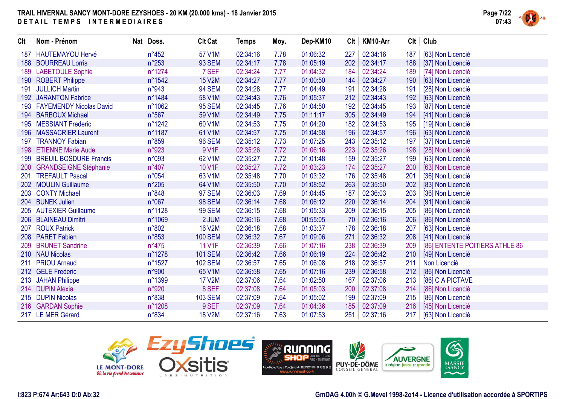

| <b>Clt</b> | Nom - Prénom                   | Nat Doss.      | <b>Clt Cat</b> | Temps    | Moy. | Dep-KM10 | Clt | KM10-Arr | Clt | Club                           |
|------------|--------------------------------|----------------|----------------|----------|------|----------|-----|----------|-----|--------------------------------|
| 187        | <b>HAUTEMAYOU Hervé</b>        | $n^{\circ}452$ | 57 V1M         | 02:34:16 | 7.78 | 01:06:32 | 227 | 02:34:16 | 187 | [63] Non Licencié              |
| 188        | <b>BOURREAU Lorris</b>         | $n^{\circ}253$ | <b>93 SEM</b>  | 02:34:17 | 7.78 | 01:05:19 | 202 | 02:34:17 | 188 | [37] Non Licencié              |
| 189        | <b>LABETOULE Sophie</b>        | n°1274         | 7 SEF          | 02:34:24 | 7.77 | 01:04:32 | 184 | 02:34:24 | 189 | [74] Non Licencié              |
| 190        | <b>ROBERT Philippe</b>         | n°1542         | <b>15 V2M</b>  | 02:34:27 | 7.77 | 01:00:50 | 144 | 02:34:27 | 190 | [63] Non Licencié              |
| 191        | <b>JULLICH Martin</b>          | n°943          | <b>94 SEM</b>  | 02:34:28 | 7.77 | 01:04:49 | 191 | 02:34:28 | 191 | [28] Non Licencié              |
| 192        | <b>JARANTON Fabrice</b>        | n°1484         | 58 V1M         | 02:34:43 | 7.76 | 01:05:37 | 212 | 02:34:43 | 192 | [63] Non Licencié              |
| 193        | <b>FAYEMENDY Nicolas David</b> | n°1062         | <b>95 SEM</b>  | 02:34:45 | 7.76 | 01:04:50 | 192 | 02:34:45 | 193 | [87] Non Licencié              |
| 194        | <b>BARBOUX Michael</b>         | $n^{\circ}567$ | 59 V1M         | 02:34:49 | 7.75 | 01:11:17 | 305 | 02:34:49 | 194 | [41] Non Licencié              |
| 195        | <b>MESSIANT Frederic</b>       | n°1242         | 60 V1M         | 02:34:53 | 7.75 | 01:04:20 | 182 | 02:34:53 | 195 | [19] Non Licencié              |
| 196        | <b>MASSACRIER Laurent</b>      | n°1187         | 61 V1M         | 02:34:57 | 7.75 | 01:04:58 | 196 | 02:34:57 | 196 | [63] Non Licencié              |
| 197        | <b>TRANNOY Fabian</b>          | n°859          | <b>96 SEM</b>  | 02:35:12 | 7.73 | 01:07:25 | 243 | 02:35:12 | 197 | [37] Non Licencié              |
| 198        | <b>ETIENNE Marie Aude</b>      | n°923          | 9 V1F          | 02:35:26 | 7.72 | 01:06:16 | 223 | 02:35:26 | 198 | [28] Non Licencié              |
| 199        | <b>BREUIL BOSDURE Francis</b>  | n°093          | 62 V1M         | 02:35:27 | 7.72 | 01:01:48 | 159 | 02:35:27 | 199 | [63] Non Licencié              |
| 200        | <b>GRANDSEIGNE Stéphanie</b>   | $n^{\circ}407$ | 10 V1F         | 02:35:27 | 7.72 | 01:03:23 | 174 | 02:35:27 | 200 | [63] Non Licencié              |
| 201        | <b>TREFAULT Pascal</b>         | n°054          | 63 V1M         | 02:35:48 | 7.70 | 01:03:32 | 176 | 02:35:48 | 201 | [36] Non Licencié              |
|            | 202 MOULIN Guillaume           | $n^{\circ}205$ | 64 V1M         | 02:35:50 | 7.70 | 01:08:52 | 263 | 02:35:50 | 202 | [83] Non Licencié              |
|            | 203 CONTY Michael              | n°848          | 97 SEM         | 02:36:03 | 7.69 | 01:04:45 | 187 | 02:36:03 | 203 | [36] Non Licencié              |
|            | 204 BUNEK Julien               | $n^{\circ}067$ | <b>98 SEM</b>  | 02:36:14 | 7.68 | 01:06:12 | 220 | 02:36:14 | 204 | [91] Non Licencié              |
|            | 205 AUTEXIER Guillaume         | n°1128         | <b>99 SEM</b>  | 02:36:15 | 7.68 | 01:05:33 | 209 | 02:36:15 | 205 | [86] Non Licencié              |
|            | 206 BLAINEAU Dimitri           | n°1069         | 2 JUM          | 02:36:16 | 7.68 | 00:55:05 | 70  | 02:36:16 | 206 | [86] Non Licencié              |
| 207        | <b>ROUX Patrick</b>            | n°802          | <b>16 V2M</b>  | 02:36:18 | 7.68 | 01:03:37 | 178 | 02:36:18 | 207 | [63] Non Licencié              |
|            | 208 PARET Fabien               | n°853          | <b>100 SEM</b> | 02:36:32 | 7.67 | 01:09:06 | 271 | 02:36:32 | 208 | [41] Non Licencié              |
|            | 209 BRUNET Sandrine            | $n^{\circ}475$ | 11 V1F         | 02:36:39 | 7.66 | 01:07:16 | 238 | 02:36:39 | 209 | [86] ENTENTE POITIERS ATHLE 86 |
|            | 210 NAU Nicolas                | n°1278         | <b>101 SEM</b> | 02:36:42 | 7.66 | 01:06:19 | 224 | 02:36:42 | 210 | [49] Non Licencié              |
| 211        | <b>PRIOU Arnaud</b>            | n°1527         | <b>102 SEM</b> | 02:36:57 | 7.65 | 01:06:08 | 218 | 02:36:57 | 211 | Non Licencié                   |
|            | 212 GELE Frederic              | n°900          | 65 V1M         | 02:36:58 | 7.65 | 01:07:16 | 239 | 02:36:58 | 212 | [86] Non Licencié              |
| 213        | <b>JAHAN Philippe</b>          | n°1399         | <b>17 V2M</b>  | 02:37:06 | 7.64 | 01:02:50 | 167 | 02:37:06 | 213 | [86] C A PICTAVE               |
|            | 214 DUPIN Alexia               | n°920          | 8 SEF          | 02:37:08 | 7.64 | 01:05:03 | 200 | 02:37:08 | 214 | [86] Non Licencié              |
|            | 215 DUPIN Nicolas              | n°838          | <b>103 SEM</b> | 02:37:09 | 7.64 | 01:05:02 | 199 | 02:37:09 | 215 | [86] Non Licencié              |
|            | 216 GARDAN Sophie              | n°1208         | 9 SEF          | 02:37:09 | 7.64 | 01:04:36 | 185 | 02:37:09 | 216 | [45] Non Licencié              |
|            | 217 LE MER Gérard              | $n^{\circ}834$ | <b>18 V2M</b>  | 02:37:16 | 7.63 | 01:07:53 | 251 | 02:37:16 | 217 | [63] Non Licencié              |

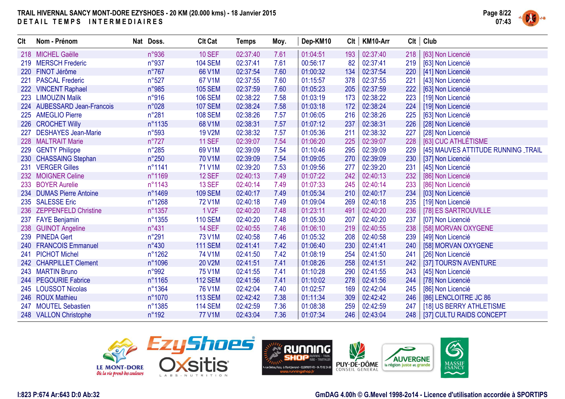

| <b>Clt</b> | Nom - Prénom                | Nat Doss.      | <b>Clt Cat</b>     | <b>Temps</b> | Moy. | Dep-KM10 | Clt | KM10-Arr | Clt | Club                                |
|------------|-----------------------------|----------------|--------------------|--------------|------|----------|-----|----------|-----|-------------------------------------|
|            | 218 MICHEL Gaëlle           | n°936          | <b>10 SEF</b>      | 02:37:40     | 7.61 | 01:04:51 | 193 | 02:37:40 | 218 | [63] Non Licencié                   |
| 219        | <b>MERSCH Frederic</b>      | n°937          | <b>104 SEM</b>     | 02:37:41     | 7.61 | 00:56:17 | 82  | 02:37:41 | 219 | [63] Non Licencié                   |
| <b>220</b> | FINOT Jérôme                | $n^{\circ}767$ | 66 V1M             | 02:37:54     | 7.60 | 01:00:32 | 134 | 02:37:54 | 220 | [41] Non Licencié                   |
| 221        | <b>PASCAL Frederic</b>      | $n^{\circ}527$ | 67 V1M             | 02:37:55     | 7.60 | 01:15:57 | 378 | 02:37:55 | 221 | [43] Non Licencié                   |
|            | 222 VINCENT Raphael         | n°985          | <b>105 SEM</b>     | 02:37:59     | 7.60 | 01:05:23 | 205 | 02:37:59 | 222 | [63] Non Licencié                   |
| 223        | <b>LIMOUZIN Malik</b>       | n°916          | <b>106 SEM</b>     | 02:38:22     | 7.58 | 01:03:19 | 173 | 02:38:22 | 223 | [19] Non Licencié                   |
|            | 224 AUBESSARD Jean-Francois | n°028          | <b>107 SEM</b>     | 02:38:24     | 7.58 | 01:03:18 | 172 | 02:38:24 | 224 | [19] Non Licencié                   |
|            | 225 AMEGLIO Pierre          | $n^{\circ}281$ | <b>108 SEM</b>     | 02:38:26     | 7.57 | 01:06:05 | 216 | 02:38:26 | 225 | [63] Non Licencié                   |
|            | 226 CROCHET Willy           | n°1135         | 68 V1M             | 02:38:31     | 7.57 | 01:07:12 | 237 | 02:38:31 | 226 | [28] Non Licencié                   |
| 227        | <b>DESHAYES Jean-Marie</b>  | n°593          | <b>19 V2M</b>      | 02:38:32     | 7.57 | 01:05:36 | 211 | 02:38:32 | 227 | [28] Non Licencié                   |
|            | 228 MALTRAIT Marie          | $n^{\circ}727$ | <b>11 SEF</b>      | 02:39:07     | 7.54 | 01:06:20 | 225 | 02:39:07 | 228 | [63] CUC ATHLÉTISME                 |
|            | 229 GENTY Philippe          | $n^{\circ}285$ | 69 V1M             | 02:39:09     | 7.54 | 01:10:46 | 295 | 02:39:09 | 229 | [45] MAUVES ATTITUDE RUNNING _TRAIL |
| 230        | <b>CHASSAING Stephan</b>    | $n^{\circ}250$ | 70 V1M             | 02:39:09     | 7.54 | 01:09:05 | 270 | 02:39:09 | 230 | [37] Non Licencié                   |
| 231        | <b>VERGER Gilles</b>        | n°1141         | 71 V1M             | 02:39:20     | 7.53 | 01:09:56 | 277 | 02:39:20 | 231 | [45] Non Licencié                   |
|            | 232 MOIGNER Celine          | n°1169         | <b>12 SEF</b>      | 02:40:13     | 7.49 | 01:07:22 | 242 | 02:40:13 | 232 | [86] Non Licencié                   |
|            | 233 BOYER Aurelie           | n°1143         | <b>13 SEF</b>      | 02:40:14     | 7.49 | 01:07:33 | 245 | 02:40:14 | 233 | [86] Non Licencié                   |
|            | 234 DUMAS Pierre Antoine    | n°1469         | <b>109 SEM</b>     | 02:40:17     | 7.49 | 01:05:34 | 210 | 02:40:17 | 234 | [03] Non Licencié                   |
|            | 235 SALESSE Eric            | n°1268         | 72 V1M             | 02:40:18     | 7.49 | 01:09:04 | 269 | 02:40:18 | 235 | [19] Non Licencié                   |
|            | 236 ZEPPENFELD Christine    | n°1357         | 1 V <sub>2</sub> F | 02:40:20     | 7.48 | 01:23:11 | 491 | 02:40:20 | 236 | [78] ES SARTROUVILLE                |
| 237        | <b>FAYE Benjamin</b>        | n°1355         | <b>110 SEM</b>     | 02:40:20     | 7.48 | 01:05:30 | 207 | 02:40:20 | 237 | [07] Non Licencié                   |
|            | 238 GUINOT Angeline         | $n^{\circ}431$ | <b>14 SEF</b>      | 02:40:55     | 7.46 | 01:06:10 | 219 | 02:40:55 | 238 | [58] MORVAN OXYGENE                 |
|            | 239 PINEDA Gert             | n°291          | 73 V1M             | 02:40:58     | 7.46 | 01:05:32 | 208 | 02:40:58 | 239 | [49] Non Licencié                   |
| 240        | <b>FRANCOIS Emmanuel</b>    | $n^{\circ}430$ | <b>111 SEM</b>     | 02:41:41     | 7.42 | 01:06:40 | 230 | 02:41:41 | 240 | [58] MORVAN OXYGENE                 |
| 241        | <b>PICHOT Michel</b>        | n°1262         | 74 V1M             | 02:41:50     | 7.42 | 01:08:19 | 254 | 02:41:50 | 241 | [26] Non Licencié                   |
|            | 242 CHARPILLET Clement      | n°1096         | 20 V2M             | 02:41:51     | 7.41 | 01:08:26 | 258 | 02:41:51 | 242 | [37] TOURS'N AVENTURE               |
|            | 243 MARTIN Bruno            | n°992          | <b>75 V1M</b>      | 02:41:55     | 7.41 | 01:10:28 | 290 | 02:41:55 | 243 | [45] Non Licencié                   |
|            | 244 PEGOURIE Fabrice        | n°1165         | <b>112 SEM</b>     | 02:41:56     | 7.41 | 01:10:02 | 278 | 02:41:56 | 244 | [78] Non Licencié                   |
|            | 245 LOUSSOT Nicolas         | n°1364         | 76 V1M             | 02:42:04     | 7.40 | 01:02:57 | 169 | 02:42:04 | 245 | [86] Non Licencié                   |
|            | 246 ROUX Mathieu            | n°1070         | <b>113 SEM</b>     | 02:42:42     | 7.38 | 01:11:34 | 309 | 02:42:42 | 246 | [86] LENCLOITRE JC 86               |
|            | 247 MOUTEL Sebastien        | n°1385         | <b>114 SEM</b>     | 02:42:59     | 7.36 | 01:08:38 | 259 | 02:42:59 | 247 | [18] US BERRY ATHLETISME            |
|            | 248 VALLON Christophe       | $n^{\circ}192$ | <b>77 V1M</b>      | 02:43:04     | 7.36 | 01:07:34 | 246 | 02:43:04 | 248 | [37] CULTU RAIDS CONCEPT            |





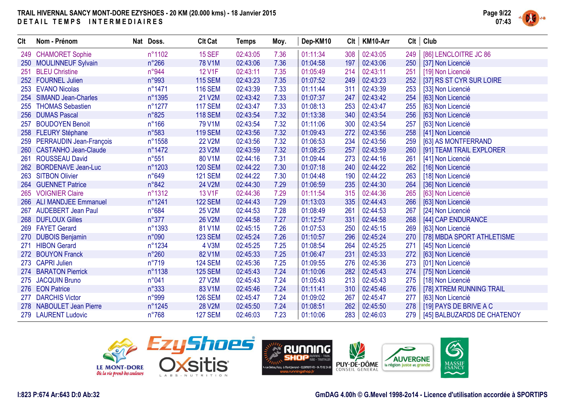

| <b>CIt</b> | Nom - Prénom                | Nat Doss.      | <b>Clt Cat</b> | <b>Temps</b> | Moy. | Dep-KM10 | Clt | KM10-Arr | Clt | Club                        |
|------------|-----------------------------|----------------|----------------|--------------|------|----------|-----|----------|-----|-----------------------------|
|            | 249 CHAMORET Sophie         | n°1102         | <b>15 SEF</b>  | 02:43:05     | 7.36 | 01:11:34 | 308 | 02:43:05 | 249 | [86] LENCLOITRE JC 86       |
|            | 250 MOULINNEUF Sylvain      | $n^{\circ}266$ | 78 V1M         | 02:43:06     | 7.36 | 01:04:58 | 197 | 02:43:06 | 250 | [37] Non Licencié           |
| 251        | <b>BLEU Christine</b>       | n°944          | 12 V1F         | 02:43:11     | 7.35 | 01:05:49 | 214 | 02:43:11 | 251 | [19] Non Licencié           |
|            | 252 FOURNEL Julien          | n°993          | <b>115 SEM</b> | 02:43:23     | 7.35 | 01:07:52 | 249 | 02:43:23 | 252 | [37] RS ST CYR SUR LOIRE    |
|            | 253 EVANO Nicolas           | n°1471         | <b>116 SEM</b> | 02:43:39     | 7.33 | 01:11:44 | 311 | 02:43:39 | 253 | [33] Non Licencié           |
| 254        | <b>SIMAND Jean-Charles</b>  | n°1395         | 21 V2M         | 02:43:42     | 7.33 | 01:07:37 | 247 | 02:43:42 | 254 | [63] Non Licencié           |
| 255        | <b>THOMAS Sebastien</b>     | n°1277         | <b>117 SEM</b> | 02:43:47     | 7.33 | 01:08:13 | 253 | 02:43:47 | 255 | [63] Non Licencié           |
|            | 256 DUMAS Pascal            | n°825          | <b>118 SEM</b> | 02:43:54     | 7.32 | 01:13:38 | 340 | 02:43:54 | 256 | [63] Non Licencié           |
| 257        | <b>BOUDOYEN Benoit</b>      | $n^{\circ}166$ | 79 V1M         | 02:43:54     | 7.32 | 01:11:06 | 300 | 02:43:54 | 257 | [63] Non Licencié           |
|            | 258 FLEURY Stéphane         | n°583          | <b>119 SEM</b> | 02:43:56     | 7.32 | 01:09:43 | 272 | 02:43:56 | 258 | [41] Non Licencié           |
|            | 259 PERRAUDIN Jean-François | n°1558         | <b>22 V2M</b>  | 02:43:56     | 7.32 | 01:06:53 | 234 | 02:43:56 | 259 | [63] AS MONTFERRAND         |
|            | 260 CASTANHO Jean-Claude    | n°1472         | 23 V2M         | 02:43:59     | 7.32 | 01:08:25 | 257 | 02:43:59 | 260 | [91] TEAM TRAIL EXPLORER    |
| 261        | <b>ROUSSEAU David</b>       | $n^{\circ}551$ | 80 V1M         | 02:44:16     | 7.31 | 01:09:44 | 273 | 02:44:16 | 261 | [41] Non Licencié           |
| 262        | <b>BORDENAVE Jean-Luc</b>   | n°1203         | <b>120 SEM</b> | 02:44:22     | 7.30 | 01:07:18 | 240 | 02:44:22 | 262 | [16] Non Licencié           |
|            | 263 SITBON Olivier          | n°649          | <b>121 SEM</b> | 02:44:22     | 7.30 | 01:04:48 | 190 | 02:44:22 | 263 | [18] Non Licencié           |
|            | 264 GUENNET Patrice         | n°842          | 24 V2M         | 02:44:30     | 7.29 | 01:06:59 | 235 | 02:44:30 | 264 | [36] Non Licencié           |
|            | 265 VOIGNIER Claire         | n°1312         | 13 V1F         | 02:44:36     | 7.29 | 01:11:54 | 315 | 02:44:36 | 265 | [63] Non Licencié           |
|            | 266 ALI MANDJEE Emmanuel    | n°1241         | <b>122 SEM</b> | 02:44:43     | 7.29 | 01:13:03 | 335 | 02:44:43 | 266 | [63] Non Licencié           |
|            | 267 AUDEBERT Jean Paul      | $n^{\circ}684$ | 25 V2M         | 02:44:53     | 7.28 | 01:08:49 | 261 | 02:44:53 | 267 | [24] Non Licencié           |
|            | 268 DUFLOUX Gilles          | $n^{\circ}377$ | 26 V2M         | 02:44:58     | 7.27 | 01:12:57 | 331 | 02:44:58 | 268 | [44] CAP ENDURANCE          |
|            | 269 FAYET Gerard            | n°1393         | 81 V1M         | 02:45:15     | 7.26 | 01:07:53 | 250 | 02:45:15 | 269 | [63] Non Licencié           |
|            | 270 DUBOIS Benjamin         | n°090          | <b>123 SEM</b> | 02:45:24     | 7.26 | 01:10:57 | 296 | 02:45:24 | 270 | [78] MBDA SPORT ATHLETISME  |
| 271        | <b>HIBON Gerard</b>         | n°1234         | 4 V3M          | 02:45:25     | 7.25 | 01:08:54 | 264 | 02:45:25 | 271 | [45] Non Licencié           |
|            | 272 BOUYON Franck           | $n^{\circ}260$ | 82 V1M         | 02:45:33     | 7.25 | 01:06:47 | 231 | 02:45:33 | 272 | [63] Non Licencié           |
|            | 273 CAPRI Julien            | n°719          | <b>124 SEM</b> | 02:45:36     | 7.25 | 01:09:55 | 276 | 02:45:36 | 273 | [01] Non Licencié           |
|            | 274 BARATON Pierrick        | n°1138         | <b>125 SEM</b> | 02:45:43     | 7.24 | 01:10:06 | 282 | 02:45:43 | 274 | [75] Non Licencié           |
| 275        | <b>JACQUIN Bruno</b>        | n°041          | <b>27 V2M</b>  | 02:45:43     | 7.24 | 01:05:43 | 213 | 02:45:43 | 275 | [18] Non Licencié           |
|            | 276 EON Patrice             | $n^{\circ}333$ | 83 V1M         | 02:45:46     | 7.24 | 01:11:41 | 310 | 02:45:46 | 276 | [78] XTREM RUNNING TRAIL    |
| 277        | <b>DARCHIS Victor</b>       | n°999          | <b>126 SEM</b> | 02:45:47     | 7.24 | 01:09:02 | 267 | 02:45:47 | 277 | [63] Non Licencié           |
|            | 278 NABOULET Jean Pierre    | n°1245         | 28 V2M         | 02:45:50     | 7.24 | 01:08:51 | 262 | 02:45:50 | 278 | [19] PAYS DE BRIVE A C      |
|            | 279 LAURENT Ludovic         | $n^{\circ}768$ | <b>127 SEM</b> | 02:46:03     | 7.23 | 01:10:06 | 283 | 02:46:03 | 279 | [45] BALBUZARDS DE CHATENOY |







#### **I:823 P:674 Ar:643 D:0 Ab:32**

#### **GmDAG 4.00h © G.Mevel 1998-2o14 - Licence d'utilisation accordée à SPORTIPS**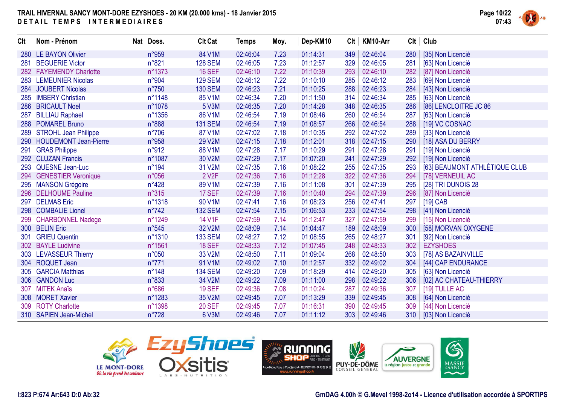

| <b>CIt</b> | Nom - Prénom              | Nat Doss.       | <b>Clt Cat</b>     | <b>Temps</b> | Moy. | Dep-KM10 | Clt | KM10-Arr | Clt | Club                          |
|------------|---------------------------|-----------------|--------------------|--------------|------|----------|-----|----------|-----|-------------------------------|
| 280        | <b>LE BAYON Olivier</b>   | n°959           | 84 V1M             | 02:46:04     | 7.23 | 01:14:31 | 349 | 02:46:04 | 280 | [35] Non Licencié             |
| 281        | <b>BEGUERIE Victor</b>    | n°821           | <b>128 SEM</b>     | 02:46:05     | 7.23 | 01:12:57 | 329 | 02:46:05 | 281 | [63] Non Licencié             |
|            | 282 FAYEMENDY Charlotte   | n°1373          | <b>16 SEF</b>      | 02:46:10     | 7.22 | 01:10:39 | 293 | 02:46:10 | 282 | [87] Non Licencié             |
|            | 283 LEMEUNIER Nicolas     | n°904           | <b>129 SEM</b>     | 02:46:12     | 7.22 | 01:10:10 | 285 | 02:46:12 | 283 | [69] Non Licencié             |
|            | 284 JOUBERT Nicolas       | $n^{\circ}750$  | <b>130 SEM</b>     | 02:46:23     | 7.21 | 01:10:25 | 288 | 02:46:23 | 284 | [43] Non Licencié             |
| 285        | <b>IMBERY Christian</b>   | n°1148          | 85 V1M             | 02:46:34     | 7.20 | 01:11:50 | 314 | 02:46:34 | 285 | [63] Non Licencié             |
| 286        | <b>BRICAULT Noel</b>      | n°1078          | 5 V3M              | 02:46:35     | 7.20 | 01:14:28 | 348 | 02:46:35 | 286 | [86] LENCLOITRE JC 86         |
| 287        | <b>BILLIAU Raphael</b>    | n°1356          | 86 V1M             | 02:46:54     | 7.19 | 01:08:46 | 260 | 02:46:54 | 287 | [63] Non Licencié             |
|            | 288 POMAREL Bruno         | n°888           | <b>131 SEM</b>     | 02:46:54     | 7.19 | 01:08:57 | 266 | 02:46:54 | 288 | [19] VC COSNAC                |
|            | 289 STROHL Jean Philippe  | $n^{\circ}706$  | 87 V1M             | 02:47:02     | 7.18 | 01:10:35 | 292 | 02:47:02 | 289 | [33] Non Licencié             |
|            | 290 HOUDEMONT Jean-Pierre | n°958           | 29 V2M             | 02:47:15     | 7.18 | 01:12:01 | 318 | 02:47:15 | 290 | [18] ASA DU BERRY             |
| 291        | <b>GRAS Philippe</b>      | n°912           | 88 V1M             | 02:47:28     | 7.17 | 01:10:29 | 291 | 02:47:28 | 291 | [19] Non Licencié             |
| 292        | <b>CLUZAN Francis</b>     | n°1087          | 30 V2M             | 02:47:29     | 7.17 | 01:07:20 | 241 | 02:47:29 | 292 | [19] Non Licencié             |
| 293        | <b>QUESNE Jean-Luc</b>    | $n^{\circ}$ 194 | 31 V2M             | 02:47:35     | 7.16 | 01:08:22 | 255 | 02:47:35 | 293 | [63] BEAUMONT ATHLÉTIQUE CLUB |
|            | 294 GENESTIER Veronique   | n°056           | 2 V <sub>2</sub> F | 02:47:36     | 7.16 | 01:12:28 | 322 | 02:47:36 | 294 | [78] VERNEUIL AC              |
|            | 295 MANSON Grégoire       | $n^{\circ}428$  | 89 V1M             | 02:47:39     | 7.16 | 01:11:08 | 301 | 02:47:39 | 295 | [28] TRI DUNOIS 28            |
|            | 296 DELHOUME Pauline      | n°315           | 17 SEF             | 02:47:39     | 7.16 | 01:10:40 | 294 | 02:47:39 | 296 | [87] Non Licencié             |
| 297        | <b>DELMAS Eric</b>        | n°1318          | 90 V1M             | 02:47:41     | 7.16 | 01:08:23 | 256 | 02:47:41 | 297 | $[19]$ CAB                    |
|            | 298 COMBALIE Lionel       | $n^{\circ}742$  | <b>132 SEM</b>     | 02:47:54     | 7.15 | 01:06:53 | 233 | 02:47:54 | 298 | [41] Non Licencié             |
|            | 299 CHARBONNEL Nadege     | n°1249          | 14 V1F             | 02:47:59     | 7.14 | 01:12:47 | 327 | 02:47:59 | 299 | [15] Non Licencié             |
|            | 300 BELIN Eric            | n°545           | 32 V2M             | 02:48:09     | 7.14 | 01:04:47 | 189 | 02:48:09 | 300 | [58] MORVAN OXYGENE           |
| 301        | <b>GRIEU Quentin</b>      | n°1310          | <b>133 SEM</b>     | 02:48:27     | 7.12 | 01:08:55 | 265 | 02:48:27 | 301 | [92] Non Licencié             |
|            | 302 BAYLE Ludivine        | n°1561          | <b>18 SEF</b>      | 02:48:33     | 7.12 | 01:07:45 | 248 | 02:48:33 | 302 | <b>EZYSHOES</b>               |
|            | 303 LEVASSEUR Thierry     | n°050           | 33 V2M             | 02:48:50     | 7.11 | 01:09:04 | 268 | 02:48:50 | 303 | [78] AS BAZAINVILLE           |
|            | 304 ROQUET Jean           | $n^{\circ}771$  | 91 V1M             | 02:49:02     | 7.10 | 01:12:57 | 332 | 02:49:02 | 304 | [44] CAP ENDURANCE            |
|            | 305 GARCIA Matthias       | $n^{\circ}$ 148 | <b>134 SEM</b>     | 02:49:20     | 7.09 | 01:18:29 | 414 | 02:49:20 | 305 | [63] Non Licencié             |
|            | 306 GANDON Luc            | n°833           | 34 V2M             | 02:49:22     | 7.09 | 01:11:00 | 298 | 02:49:22 | 306 | [02] AC CHATEAU-THIERRY       |
| 307        | <b>MITEK Anaïs</b>        | n°686           | <b>19 SEF</b>      | 02:49:36     | 7.08 | 01:10:24 | 287 | 02:49:36 | 307 | [19] TULLE AC                 |
|            | 308 MORET Xavier          | n°1283          | 35 V2M             | 02:49:45     | 7.07 | 01:13:29 | 339 | 02:49:45 | 308 | [64] Non Licencié             |
|            | 309 ROTY Charlotte        | n°1398          | <b>20 SEF</b>      | 02:49:45     | 7.07 | 01:16:31 | 390 | 02:49:45 | 309 | [44] Non Licencié             |
|            | 310 SAPIEN Jean-Michel    | $n^{\circ}728$  | 6 V3M              | 02:49:46     | 7.07 | 01:11:12 | 303 | 02:49:46 | 310 | [03] Non Licencié             |





**GmDAG 4.00h © G.Mevel 1998-2o14 - Licence d'utilisation accordée à SPORTIPS**

**AUVERGNE** 

6

MASSIF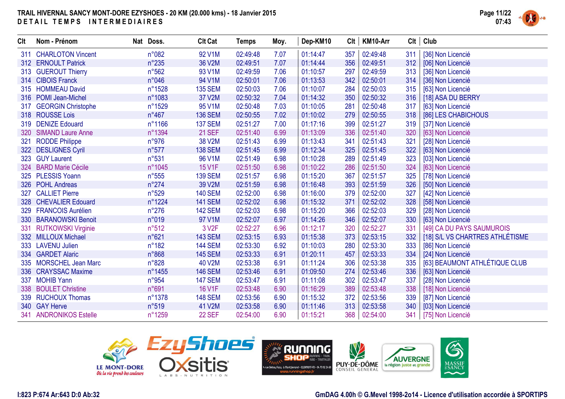

| <b>CIt</b> | Nom - Prénom              | Nat Doss.      | <b>Clt Cat</b>     | Temps    | Moy. | Dep-KM10 | Clt | KM10-Arr | Clt | Club                            |
|------------|---------------------------|----------------|--------------------|----------|------|----------|-----|----------|-----|---------------------------------|
|            | 311 CHARLOTON Vincent     | n°082          | 92 V1M             | 02:49:48 | 7.07 | 01:14:47 | 357 | 02:49:48 | 311 | [36] Non Licencié               |
|            | 312 ERNOULT Patrick       | $n^{\circ}235$ | 36 V2M             | 02:49:51 | 7.07 | 01:14:44 | 356 | 02:49:51 | 312 | [06] Non Licencié               |
|            | 313 GUEROUT Thierry       | $n^{\circ}562$ | 93 V1M             | 02:49:59 | 7.06 | 01:10:57 | 297 | 02:49:59 | 313 | [36] Non Licencié               |
|            | 314 CIBOIS Franck         | n°046          | 94 V1M             | 02:50:01 | 7.06 | 01:13:53 | 342 | 02:50:01 | 314 | [36] Non Licencié               |
|            | 315 HOMMEAU David         | n°1528         | <b>135 SEM</b>     | 02:50:03 | 7.06 | 01:10:07 | 284 | 02:50:03 | 315 | [63] Non Licencié               |
|            | 316 POMI Jean-Michel      | n°1083         | 37 V2M             | 02:50:32 | 7.04 | 01:14:32 | 350 | 02:50:32 | 316 | [18] ASA DU BERRY               |
| 317        | <b>GEORGIN Christophe</b> | n°1529         | 95 V1M             | 02:50:48 | 7.03 | 01:10:05 | 281 | 02:50:48 | 317 | [63] Non Licencié               |
|            | 318 ROUSSE Lois           | n°467          | <b>136 SEM</b>     | 02:50:55 | 7.02 | 01:10:02 | 279 | 02:50:55 | 318 | [86] LES CHABICHOUS             |
|            | 319 DENIZE Edouard        | n°1166         | <b>137 SEM</b>     | 02:51:27 | 7.00 | 01:17:16 | 399 | 02:51:27 | 319 | [37] Non Licencié               |
| 320        | <b>SIMAND Laure Anne</b>  | n°1394         | <b>21 SEF</b>      | 02:51:40 | 6.99 | 01:13:09 | 336 | 02:51:40 | 320 | [63] Non Licencié               |
| 321        | <b>RODDE Philippe</b>     | n°976          | 38 V2M             | 02:51:43 | 6.99 | 01:13:43 | 341 | 02:51:43 | 321 | [28] Non Licencié               |
|            | 322 DESLIGNES Cyril       | n°577          | <b>138 SEM</b>     | 02:51:45 | 6.99 | 01:12:34 | 325 | 02:51:45 | 322 | [63] Non Licencié               |
|            | 323 GUY Laurent           | n°531          | 96 V1M             | 02:51:49 | 6.98 | 01:10:28 | 289 | 02:51:49 | 323 | [03] Non Licencié               |
|            | 324 BARD Marie Cécile     | n°1045         | 15 V1F             | 02:51:50 | 6.98 | 01:10:22 | 286 | 02:51:50 | 324 | [63] Non Licencié               |
|            | 325 PLESSIS Yoann         | $n^{\circ}555$ | <b>139 SEM</b>     | 02:51:57 | 6.98 | 01:15:20 | 367 | 02:51:57 | 325 | [78] Non Licencié               |
|            | 326 POHL Andreas          | $n^{\circ}274$ | 39 V2M             | 02:51:59 | 6.98 | 01:16:48 | 393 | 02:51:59 | 326 | [50] Non Licencié               |
| 327        | <b>CALLIET Pierre</b>     | n°529          | <b>140 SEM</b>     | 02:52:00 | 6.98 | 01:16:00 | 379 | 02:52:00 | 327 | [42] Non Licencié               |
|            | 328 CHEVALIER Edouard     | n°1224         | <b>141 SEM</b>     | 02:52:02 | 6.98 | 01:15:32 | 371 | 02:52:02 | 328 | [58] Non Licencié               |
| 329        | <b>FRANCOIS Aurélien</b>  | $n^{\circ}276$ | <b>142 SEM</b>     | 02:52:03 | 6.98 | 01:15:20 | 366 | 02:52:03 | 329 | [28] Non Licencié               |
|            | 330 BARANOWSKI Benoit     | n°019          | 97 V1M             | 02:52:07 | 6.97 | 01:14:26 | 346 | 02:52:07 | 330 | [63] Non Licencié               |
| 331        | <b>RUTKOWSKI Virginie</b> | n°512          | 3 V <sub>2</sub> F | 02:52:27 | 6.96 | 01:12:17 | 320 | 02:52:27 | 331 | [49] CA DU PAYS SAUMUROIS       |
|            | 332 MILLOUX Michael       | n°621          | <b>143 SEM</b>     | 02:53:15 | 6.93 | 01:15:38 | 373 | 02:53:15 | 332 | [18] S/L VS CHARTRES ATHLÉTISME |
|            | 333 LAVENU Julien         | $n^{\circ}182$ | <b>144 SEM</b>     | 02:53:30 | 6.92 | 01:10:03 | 280 | 02:53:30 | 333 | [86] Non Licencié               |
|            | 334 GARDET Alaric         | n°868          | <b>145 SEM</b>     | 02:53:33 | 6.91 | 01:20:11 | 457 | 02:53:33 | 334 | [24] Non Licencié               |
|            | 335 MORSCHEL Jean Marc    | n°828          | 40 V2M             | 02:53:38 | 6.91 | 01:11:24 | 306 | 02:53:38 | 335 | [63] BEAUMONT ATHLÉTIQUE CLUB   |
|            | 336 CRAYSSAC Maxime       | n°1455         | <b>146 SEM</b>     | 02:53:46 | 6.91 | 01:09:50 | 274 | 02:53:46 | 336 | [63] Non Licencié               |
| 337        | <b>MOHIB Yann</b>         | n°954          | <b>147 SEM</b>     | 02:53:47 | 6.91 | 01:11:08 | 302 | 02:53:47 | 337 | [28] Non Licencié               |
|            | 338 BOULET Christine      | n°691          | 16 V1F             | 02:53:48 | 6.90 | 01:16:29 | 389 | 02:53:48 | 338 | [18] Non Licencié               |
|            | 339 RUCHOUX Thomas        | n°1378         | <b>148 SEM</b>     | 02:53:56 | 6.90 | 01:15:32 | 372 | 02:53:56 | 339 | [87] Non Licencié               |
|            | 340 GAY Herve             | n°519          | 41 V2M             | 02:53:58 | 6.90 | 01:11:46 | 313 | 02:53:58 | 340 | [03] Non Licencié               |
| 341        | <b>ANDRONIKOS Estelle</b> | n°1259         | 22 SEF             | 02:54:00 | 6.90 | 01:15:21 | 368 | 02:54:00 | 341 | [75] Non Licencié               |



**GmDAG 4.00h © G.Mevel 1998-2o14 - Licence d'utilisation accordée à SPORTIPS**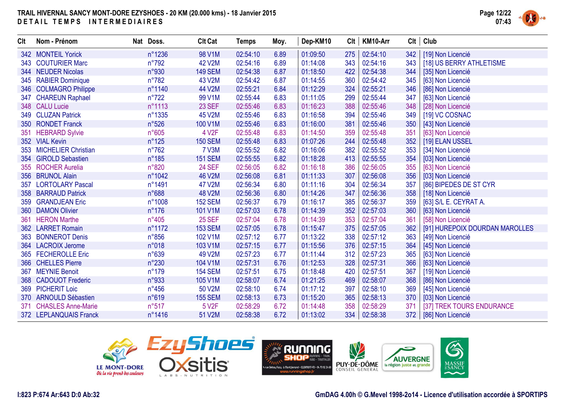

| <b>Clt</b> | Nom - Prénom              | Nat Doss.      | <b>Clt Cat</b>     | <b>Temps</b> | Moy. | Dep-KM10 | Clt | KM10-Arr | Clt | Club                           |
|------------|---------------------------|----------------|--------------------|--------------|------|----------|-----|----------|-----|--------------------------------|
|            | 342 MONTEIL Yorick        | n°1236         | 98 V1M             | 02:54:10     | 6.89 | 01:09:50 | 275 | 02:54:10 | 342 | [19] Non Licencié              |
|            | 343 COUTURIER Marc        | $n^{\circ}792$ | 42 V2M             | 02:54:16     | 6.89 | 01:14:08 | 343 | 02:54:16 | 343 | [18] US BERRY ATHLETISME       |
|            | 344 NEUDER Nicolas        | n°930          | <b>149 SEM</b>     | 02:54:38     | 6.87 | 01:18:50 | 422 | 02:54:38 | 344 | [35] Non Licencié              |
|            | 345 RABIER Dominique      | $n^{\circ}782$ | 43 V2M             | 02:54:42     | 6.87 | 01:14:55 | 360 | 02:54:42 | 345 | [63] Non Licencié              |
|            | 346 COLMAGRO Philippe     | n°1140         | 44 V2M             | 02:55:21     | 6.84 | 01:12:29 | 324 | 02:55:21 | 346 | [86] Non Licencié              |
|            | 347 CHAREUN Raphael       | $n^{\circ}722$ | 99 V1M             | 02:55:44     | 6.83 | 01:11:05 | 299 | 02:55:44 | 347 | [63] Non Licencié              |
|            | 348 CALU Lucie            | n°1113         | 23 SEF             | 02:55:46     | 6.83 | 01:16:23 | 388 | 02:55:46 | 348 | [28] Non Licencié              |
|            | 349 CLUZAN Patrick        | n°1335         | 45 V2M             | 02:55:46     | 6.83 | 01:16:58 | 394 | 02:55:46 | 349 | [19] VC COSNAC                 |
|            | 350 RONDET Franck         | n°526          | 100 V1M            | 02:55:46     | 6.83 | 01:16:00 | 381 | 02:55:46 | 350 | [43] Non Licencié              |
| 351        | <b>HEBRARD Sylvie</b>     | n°605          | 4 V2F              | 02:55:48     | 6.83 | 01:14:50 | 359 | 02:55:48 | 351 | [63] Non Licencié              |
|            | 352 VIAL Kevin            | $n^{\circ}125$ | <b>150 SEM</b>     | 02:55:48     | 6.83 | 01:07:26 | 244 | 02:55:48 | 352 | [19] ELAN USSEL                |
|            | 353 MICHELIER Christian   | $n^{\circ}762$ | <b>7 V3M</b>       | 02:55:52     | 6.82 | 01:16:06 | 382 | 02:55:52 | 353 | [34] Non Licencié              |
|            | 354 GIROLD Sebastien      | $n^{\circ}185$ | <b>151 SEM</b>     | 02:55:55     | 6.82 | 01:18:28 | 413 | 02:55:55 | 354 | [03] Non Licencié              |
|            | 355 ROCHER Aurelia        | n°820          | <b>24 SEF</b>      | 02:56:05     | 6.82 | 01:16:18 | 386 | 02:56:05 | 355 | [63] Non Licencié              |
|            | 356 BRUNOL Alain          | n°1042         | 46 V2M             | 02:56:08     | 6.81 | 01:11:33 | 307 | 02:56:08 | 356 | [03] Non Licencié              |
| 357        | <b>LORTOLARY Pascal</b>   | n°1491         | 47 V2M             | 02:56:34     | 6.80 | 01:11:16 | 304 | 02:56:34 | 357 | [86] BIPEDES DE ST CYR         |
|            | 358 BARRAUD Patrick       | n°688          | 48 V2M             | 02:56:36     | 6.80 | 01:14:26 | 347 | 02:56:36 | 358 | [18] Non Licencié              |
|            | 359 GRANDJEAN Eric        | n°1008         | <b>152 SEM</b>     | 02:56:37     | 6.79 | 01:16:17 | 385 | 02:56:37 | 359 | [63] S/L E. CEYRAT A.          |
|            | 360 DAMON Olivier         | $n^{\circ}176$ | 101 V1M            | 02:57:03     | 6.78 | 01:14:39 | 352 | 02:57:03 | 360 | [63] Non Licencié              |
| 361        | <b>HERON Marthe</b>       | $n^{\circ}405$ | <b>25 SEF</b>      | 02:57:04     | 6.78 | 01:14:39 | 353 | 02:57:04 | 361 | [58] Non Licencié              |
|            | 362 LARRET Romain         | n°1172         | <b>153 SEM</b>     | 02:57:05     | 6.78 | 01:15:47 | 375 | 02:57:05 | 362 | [91] HUREPOIX DOURDAN MAROLLES |
|            | 363 BONNEROT Denis        | $n^{\circ}856$ | 102 V1M            | 02:57:12     | 6.77 | 01:13:22 | 338 | 02:57:12 | 363 | [49] Non Licencié              |
|            | 364 LACROIX Jerome        | n°018          | 103 V1M            | 02:57:15     | 6.77 | 01:15:56 | 376 | 02:57:15 | 364 | [45] Non Licencié              |
|            | 365 FECHEROLLE Eric       | n°639          | 49 V2M             | 02:57:23     | 6.77 | 01:11:44 | 312 | 02:57:23 | 365 | [63] Non Licencié              |
|            | 366 CHELLES Pierre        | $n^{\circ}230$ | 104 V1M            | 02:57:31     | 6.76 | 01:12:53 | 328 | 02:57:31 | 366 | [63] Non Licencié              |
| 367        | <b>MEYNIE Benoit</b>      | $n^{\circ}179$ | <b>154 SEM</b>     | 02:57:51     | 6.75 | 01:18:48 | 420 | 02:57:51 | 367 | [19] Non Licencié              |
|            | 368 CADOUOT Frederic      | n°933          | 105 V1M            | 02:58:07     | 6.74 | 01:21:25 | 469 | 02:58:07 | 368 | [86] Non Licencié              |
| 369        | <b>PICHERIT Loic</b>      | $n^{\circ}456$ | 50 V2M             | 02:58:10     | 6.74 | 01:17:12 | 397 | 02:58:10 | 369 | [45] Non Licencié              |
| 370        | <b>ARNOULD Sébastien</b>  | n°619          | <b>155 SEM</b>     | 02:58:13     | 6.73 | 01:15:20 | 365 | 02:58:13 | 370 | [03] Non Licencié              |
| 371        | <b>CHASLES Anne-Marie</b> | n°517          | 5 V <sub>2</sub> F | 02:58:29     | 6.72 | 01:14:48 | 358 | 02:58:29 | 371 | [37] TREK TOURS ENDURANCE      |
|            | 372 LEPLANQUAIS Franck    | n°1416         | 51 V2M             | 02:58:38     | 6.72 | 01:13:02 | 334 | 02:58:38 | 372 | [86] Non Licencié              |

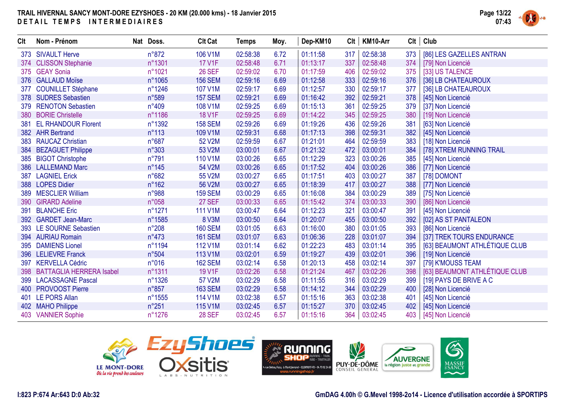

| Clt | Nom - Prénom                 | Nat Doss.        | <b>Clt Cat</b> | <b>Temps</b> | Moy. | Dep-KM10 | Clt | KM10-Arr | Clt | Club                          |
|-----|------------------------------|------------------|----------------|--------------|------|----------|-----|----------|-----|-------------------------------|
|     | 373 SIVAULT Herve            | n°872            | 106 V1M        | 02:58:38     | 6.72 | 01:11:58 | 317 | 02:58:38 | 373 | [86] LES GAZELLES ANTRAN      |
|     | 374 CLISSON Stephanie        | n°1301           | <b>17 V1F</b>  | 02:58:48     | 6.71 | 01:13:17 | 337 | 02:58:48 | 374 | [79] Non Licencié             |
|     | 375 GEAY Sonia               | n°1021           | <b>26 SEF</b>  | 02:59:02     | 6.70 | 01:17:59 | 406 | 02:59:02 | 375 | [33] US TALENCE               |
|     | 376 GALLAUD Moïse            | n°1065           | <b>156 SEM</b> | 02:59:16     | 6.69 | 01:12:58 | 333 | 02:59:16 | 376 | [36] LB CHATEAUROUX           |
| 377 | <b>COUNILLET Stéphane</b>    | n°1246           | 107 V1M        | 02:59:17     | 6.69 | 01:12:57 | 330 | 02:59:17 | 377 | [36] LB CHATEAUROUX           |
|     | 378 SUDRES Sebastien         | n°589            | <b>157 SEM</b> | 02:59:21     | 6.69 | 01:16:42 | 392 | 02:59:21 | 378 | [45] Non Licencié             |
| 379 | <b>RENOTON Sebastien</b>     | n°409            | 108 V1M        | 02:59:25     | 6.69 | 01:15:13 | 361 | 02:59:25 | 379 | [37] Non Licencié             |
| 380 | <b>BORIE Christelle</b>      | n°1186           | <b>18 V1F</b>  | 02:59:25     | 6.69 | 01:14:22 | 345 | 02:59:25 | 380 | [19] Non Licencié             |
| 381 | <b>EL RHANDOUR Florent</b>   | n°1392           | <b>158 SEM</b> | 02:59:26     | 6.69 | 01:19:26 | 436 | 02:59:26 | 381 | [63] Non Licencié             |
|     | 382 AHR Bertrand             | $n^{\circ}113$   | 109 V1M        | 02:59:31     | 6.68 | 01:17:13 | 398 | 02:59:31 | 382 | [45] Non Licencié             |
| 383 | <b>RAUCAZ Christian</b>      | n°687            | 52 V2M         | 02:59:59     | 6.67 | 01:21:01 | 464 | 02:59:59 | 383 | [18] Non Licencié             |
|     | 384 BEZAGUET Philippe        | n°303            | 53 V2M         | 03:00:01     | 6.67 | 01:21:32 | 472 | 03:00:01 | 384 | [78] XTREM RUNNING TRAIL      |
|     | 385 BIGOT Christophe         | $n^{\circ}791$   | 110 V1M        | 03:00:26     | 6.65 | 01:12:29 | 323 | 03:00:26 | 385 | [45] Non Licencié             |
| 386 | <b>LALLEMAND Marc</b>        | $n^{\circ}145$   | 54 V2M         | 03:00:26     | 6.65 | 01:17:52 | 404 | 03:00:26 | 386 | [77] Non Licencié             |
| 387 | <b>LAGNIEL Erick</b>         | n°682            | 55 V2M         | 03:00:27     | 6.65 | 01:17:51 | 403 | 03:00:27 | 387 | [78] DOMONT                   |
|     | 388 LOPES Didier             | $n^{\circ}162$   | 56 V2M         | 03:00:27     | 6.65 | 01:18:39 | 417 | 03:00:27 | 388 | [77] Non Licencié             |
| 389 | <b>MESCLIER William</b>      | n°988            | <b>159 SEM</b> | 03:00:29     | 6.65 | 01:16:08 | 384 | 03:00:29 | 389 | [75] Non Licencié             |
| 390 | <b>GIRARD Adeline</b>        | n°058            | <b>27 SEF</b>  | 03:00:33     | 6.65 | 01:15:42 | 374 | 03:00:33 | 390 | [86] Non Licencié             |
| 391 | <b>BLANCHE Eric</b>          | n°1271           | 111 V1M        | 03:00:47     | 6.64 | 01:12:23 | 321 | 03:00:47 | 391 | [45] Non Licencié             |
| 392 | <b>GARDET Jean-Marc</b>      | n°1585           | 8 V3M          | 03:00:50     | 6.64 | 01:20:07 | 455 | 03:00:50 | 392 | [02] AS ST PANTALEON          |
| 393 | <b>LE SOURNE Sebastien</b>   | $n^{\circ}208$   | <b>160 SEM</b> | 03:01:05     | 6.63 | 01:16:00 | 380 | 03:01:05 | 393 | [86] Non Licencié             |
|     | 394 AURIAU Romain            | $n^{\circ}473$   | <b>161 SEM</b> | 03:01:07     | 6.63 | 01:06:36 | 228 | 03:01:07 | 394 | [37] TREK TOURS ENDURANCE     |
| 395 | <b>DAMIENS Lionel</b>        | n°1194           | 112 V1M        | 03:01:14     | 6.62 | 01:22:23 | 483 | 03:01:14 | 395 | [63] BEAUMONT ATHLÉTIQUE CLUB |
|     | 396 LELIEVRE Franck          | n°504            | 113 V1M        | 03:02:01     | 6.59 | 01:19:27 | 439 | 03:02:01 | 396 | [19] Non Licencié             |
| 397 | <b>KERVELLA Cédric</b>       | n°016            | <b>162 SEM</b> | 03:02:14     | 6.58 | 01:20:13 | 458 | 03:02:14 | 397 | [79] K'MOUSS TEAM             |
|     | 398 BATTAGLIA HERRERA Isabel | n°1311           | 19 V1F         | 03:02:26     | 6.58 | 01:21:24 | 467 | 03:02:26 | 398 | [63] BEAUMONT ATHLÉTIQUE CLUB |
|     | 399 LACASSAGNE Pascal        | $n^{\circ}$ 1326 | 57 V2M         | 03:02:29     | 6.58 | 01:11:55 | 316 | 03:02:29 | 399 | [19] PAYS DE BRIVE A C        |
| 400 | <b>PROVOOST Pierre</b>       | $n^{\circ}857$   | <b>163 SEM</b> | 03:02:29     | 6.58 | 01:14:12 | 344 | 03:02:29 | 400 | [28] Non Licencié             |
| 401 | <b>LE PORS Allan</b>         | $n^{\circ}1555$  | 114 V1M        | 03:02:38     | 6.57 | 01:15:16 | 363 | 03:02:38 | 401 | [45] Non Licencié             |
|     | 402 MAHO Philippe            | $n^{\circ}251$   | 115 V1M        | 03:02:45     | 6.57 | 01:15:27 | 370 | 03:02:45 | 402 | [45] Non Licencié             |
|     | 403 VANNIER Sophie           | n°1276           | <b>28 SEF</b>  | 03:02:45     | 6.57 | 01:15:16 | 364 | 03:02:45 |     | 403   [45] Non Licencié       |

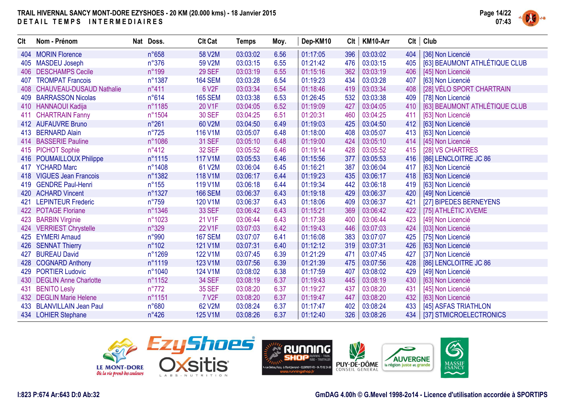

| <b>Clt</b> | Nom - Prénom                    | Nat Doss.      | <b>Clt Cat</b>     | <b>Temps</b> | Moy. | Dep-KM10 | Clt | KM10-Arr | Clt | Club                          |
|------------|---------------------------------|----------------|--------------------|--------------|------|----------|-----|----------|-----|-------------------------------|
| 404        | <b>MORIN Florence</b>           | n°658          | 58 V2M             | 03:03:02     | 6.56 | 01:17:05 | 396 | 03:03:02 | 404 | [36] Non Licencié             |
| 405        | <b>MASDEU Joseph</b>            | $n^{\circ}376$ | 59 V2M             | 03:03:15     | 6.55 | 01:21:42 | 476 | 03:03:15 | 405 | [63] BEAUMONT ATHLÉTIQUE CLUB |
| 406        | <b>DESCHAMPS Cecile</b>         | n°199          | <b>29 SEF</b>      | 03:03:19     | 6.55 | 01:15:16 | 362 | 03:03:19 | 406 | [45] Non Licencié             |
| 407        | <b>TROMPAT Francois</b>         | n°1387         | <b>164 SEM</b>     | 03:03:28     | 6.54 | 01:19:23 | 434 | 03:03:28 | 407 | [63] Non Licencié             |
| 408        | <b>CHAUVEAU-DUSAUD Nathalie</b> | n°411          | 6 V2F              | 03:03:34     | 6.54 | 01:18:46 | 419 | 03:03:34 | 408 | [28] VÉLO SPORT CHARTRAIN     |
| 409        | <b>BARRASSON Nicolas</b>        | n°614          | <b>165 SEM</b>     | 03:03:38     | 6.53 | 01:26:45 | 532 | 03:03:38 | 409 | [78] Non Licencié             |
| 410        | <b>HANNAOUI Kadija</b>          | n°1185         | 20 V1F             | 03:04:05     | 6.52 | 01:19:09 | 427 | 03:04:05 | 410 | [63] BEAUMONT ATHLÉTIQUE CLUB |
| 411        | <b>CHARTRAIN Fanny</b>          | n°1504         | <b>30 SEF</b>      | 03:04:25     | 6.51 | 01:20:31 | 460 | 03:04:25 | 411 | [63] Non Licencié             |
|            | 412 AUFAUVRE Bruno              | n°261          | 60 V2M             | 03:04:50     | 6.49 | 01:19:03 | 425 | 03:04:50 | 412 | [63] Non Licencié             |
| 413        | <b>BERNARD Alain</b>            | $n^{\circ}725$ | 116 V1M            | 03:05:07     | 6.48 | 01:18:00 | 408 | 03:05:07 | 413 | [63] Non Licencié             |
| 414        | <b>BASSERIE Pauline</b>         | n°1086         | <b>31 SEF</b>      | 03:05:10     | 6.48 | 01:19:00 | 424 | 03:05:10 | 414 | [45] Non Licencié             |
|            | 415 PICHOT Sophie               | $n^{\circ}412$ | <b>32 SEF</b>      | 03:05:52     | 6.46 | 01:19:14 | 428 | 03:05:52 | 415 | [28] VS CHARTRES              |
|            | 416 POUMAILLOUX Philippe        | n°1115         | <b>117 V1M</b>     | 03:05:53     | 6.46 | 01:15:56 | 377 | 03:05:53 | 416 | [86] LENCLOITRE JC 86         |
| 417        | <b>YCHARD Marc</b>              | n°1408         | 61 V2M             | 03:06:04     | 6.45 | 01:16:21 | 387 | 03:06:04 | 417 | [63] Non Licencié             |
|            | 418 VIGUES Jean Francois        | n°1382         | 118 V1M            | 03:06:17     | 6.44 | 01:19:23 | 435 | 03:06:17 | 418 | [63] Non Licencié             |
|            | 419 GENDRE Paul-Henri           | $n^{\circ}155$ | 119 V1M            | 03:06:18     | 6.44 | 01:19:34 | 442 | 03:06:18 | 419 | [63] Non Licencié             |
| 420        | <b>ACHARD Vincent</b>           | n°1327         | <b>166 SEM</b>     | 03:06:37     | 6.43 | 01:19:18 | 429 | 03:06:37 | 420 | [49] Non Licencié             |
| 421        | <b>LEPINTEUR Frederic</b>       | $n^{\circ}759$ | 120 V1M            | 03:06:37     | 6.43 | 01:18:06 | 409 | 03:06:37 | 421 | [27] BIPEDES BERNEYENS        |
| 422        | <b>POTAGE Floriane</b>          | n°1346         | <b>33 SEF</b>      | 03:06:42     | 6.43 | 01:15:21 | 369 | 03:06:42 | 422 | [75] ATHLÉTIC XVEME           |
| 423        | <b>BARBIN Virginie</b>          | n°1023         | 21 V1F             | 03:06:44     | 6.43 | 01:17:38 | 400 | 03:06:44 | 423 | [49] Non Licencié             |
| 424        | <b>VERRIEST Chrystelle</b>      | n°329          | 22 V1F             | 03:07:03     | 6.42 | 01:19:43 | 446 | 03:07:03 | 424 | [03] Non Licencié             |
| 425        | <b>EYMERI Arnaud</b>            | n°990          | <b>167 SEM</b>     | 03:07:07     | 6.41 | 01:16:08 | 383 | 03:07:07 | 425 | [75] Non Licencié             |
| 426        | <b>SENNAT Thierry</b>           | $n^{\circ}102$ | 121 V1M            | 03:07:31     | 6.40 | 01:12:12 | 319 | 03:07:31 | 426 | [63] Non Licencié             |
| 427        | <b>BUREAU David</b>             | n°1269         | 122 V1M            | 03:07:45     | 6.39 | 01:21:29 | 471 | 03:07:45 | 427 | [37] Non Licencié             |
| 428        | <b>COGNARD Anthony</b>          | n°1119         | 123 V1M            | 03:07:56     | 6.39 | 01:21:39 | 475 | 03:07:56 | 428 | [86] LENCLOITRE JC 86         |
| 429        | <b>PORTIER Ludovic</b>          | n°1040         | 124 V1M            | 03:08:02     | 6.38 | 01:17:59 | 407 | 03:08:02 | 429 | [49] Non Licencié             |
| 430        | <b>DEGLIN Anne Charlotte</b>    | n°1152         | <b>34 SEF</b>      | 03:08:19     | 6.37 | 01:19:43 | 445 | 03:08:19 | 430 | [63] Non Licencié             |
| 431        | <b>BENITO Lesly</b>             | $n^{\circ}772$ | <b>35 SEF</b>      | 03:08:20     | 6.37 | 01:19:27 | 437 | 03:08:20 | 431 | [45] Non Licencié             |
| 432        | <b>DEGLIN Marie Helene</b>      | n°1151         | 7 V <sub>2</sub> F | 03:08:20     | 6.37 | 01:19:47 | 447 | 03:08:20 | 432 | [63] Non Licencié             |
|            | 433 BLANVILLAIN Jean Paul       | n°680          | 62 V2M             | 03:08:24     | 6.37 | 01:17:47 | 402 | 03:08:24 | 433 | [45] ASFAS TRIATHLON          |
|            | 434 LOHIER Stephane             | $n^{\circ}426$ | 125 V1M            | 03:08:26     | 6.37 | 01:12:40 | 326 | 03:08:26 | 434 | [37] STMICROELECTRONICS       |





#### **I:823 P:674 Ar:643 D:0 Ab:32**

#### **GmDAG 4.00h © G.Mevel 1998-2o14 - Licence d'utilisation accordée à SPORTIPS**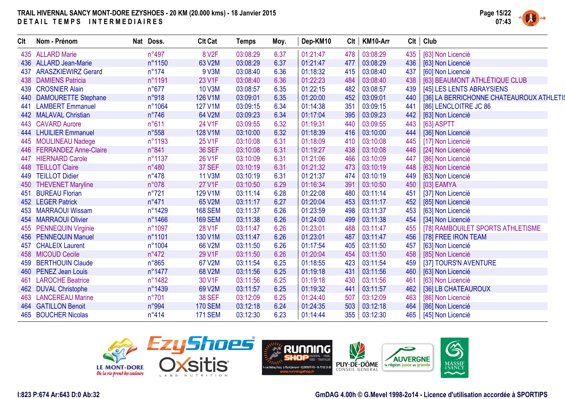

| <b>Clt</b> | Nom - Prénom              | Nat Doss. |                | <b>Clt Cat</b> |              | Temps    | Moy. | Dep-KM10 | Clt | KM10-Arr | Clt | Club                                     |
|------------|---------------------------|-----------|----------------|----------------|--------------|----------|------|----------|-----|----------|-----|------------------------------------------|
|            | 435 ALLARD Marie          |           | $n^{\circ}497$ |                | <b>8 V2F</b> | 03:08:29 | 6.37 | 01:21:47 | 478 | 03:08:29 | 435 | [63] Non Licencié                        |
|            | 436 ALLARD Jean-Marie     |           | n°1150         | 63 V2M         |              | 03:08:29 | 6.37 | 01:21:47 | 477 | 03:08:29 | 436 | [63] Non Licencié                        |
|            | 437 ARASZKIEWIRZ Gerard   |           | $n^{\circ}174$ |                | 9 V3M        | 03:08:40 | 6.36 | 01:18:32 | 415 | 03:08:40 | 437 | [60] Non Licencié                        |
|            | 438 DAMIENS Patricia      |           | n°1191         | 23 V1F         |              | 03:08:40 | 6.36 | 01:22:23 | 484 | 03:08:40 | 438 | [63] BEAUMONT ATHLÉTIQUE CLUB            |
|            | 439 CROSNIER Alain        |           | $n^{\circ}677$ | 10 V3M         |              | 03:08:57 | 6.35 | 01:22:15 | 482 | 03:08:57 | 439 | [45] LES LENTS ABRAYSIENS                |
|            | 440 DAMOURETTE Stephane   |           | n°918          | 126 V1M        |              | 03:09:01 | 6.35 | 01:20:00 | 452 | 03:09:01 | 440 | [36] LA BERRICHONNE CHATEAUROUX ATHLETIS |
| 441        | <b>LAMBERT Emmanuel</b>   |           | n°1064         | 127 V1M        |              | 03:09:15 | 6.34 | 01:14:38 | 351 | 03:09:15 | 441 | [86] LENCLOITRE JC 86                    |
|            | 442 MALAVAL Christian     |           | $n^{\circ}746$ | 64 V2M         |              | 03:09:23 | 6.34 | 01:17:04 | 395 | 03:09:23 | 442 | [63] Non Licencié                        |
|            | 443 CAVARD Aurore         |           | n°611          | 24 V1F         |              | 03:09:55 | 6.32 | 01:19:31 | 440 | 03:09:55 | 443 | [63] ASPTT                               |
|            | 444 LHUILIER Emmanuel     |           | n°558          | 128 V1M        |              | 03:10:00 | 6.32 | 01:18:39 | 416 | 03:10:00 | 444 | [36] Non Licencié                        |
|            | 445 MOULINEAU Nadege      |           | n°1193         | 25 V1F         |              | 03:10:08 | 6.31 | 01:18:09 | 410 | 03:10:08 | 445 | [17] Non Licencié                        |
|            | 446 FERRANDEZ Anne-Claire |           | n°841          | <b>36 SEF</b>  |              | 03:10:08 | 6.31 | 01:19:27 | 438 | 03:10:08 | 446 | [24] Non Licencié                        |
| 447        | <b>HIERNARD Carole</b>    |           | n°1137         | 26 V1F         |              | 03:10:09 | 6.31 | 01:21:06 | 466 | 03:10:09 | 447 | [86] Non Licencié                        |
| 448        | <b>TEILLOT Claire</b>     |           | n°480          | <b>37 SEF</b>  |              | 03:10:19 | 6.31 | 01:21:32 | 473 | 03:10:19 | 448 | [63] Non Licencié                        |
|            | 449 TEILLOT Didier        |           | $n^{\circ}478$ | 11 V3M         |              | 03:10:19 | 6.31 | 01:21:37 | 474 | 03:10:19 | 449 | [63] Non Licencié                        |
|            | 450 THEVENET Maryline     |           | n°078          | <b>27 V1F</b>  |              | 03:10:50 | 6.29 | 01:16:34 | 391 | 03:10:50 | 450 | [03] EAMYA                               |
| 451        | <b>BUREAU Florian</b>     |           | $n^{\circ}721$ | 129 V1M        |              | 03:11:14 | 6.28 | 01:22:08 | 480 | 03:11:14 | 451 | [37] Non Licencié                        |
|            | 452 LEGER Patrick         |           | $n^{\circ}471$ | 65 V2M         |              | 03:11:17 | 6.27 | 01:20:04 | 453 | 03:11:17 | 452 | [85] Non Licencié                        |
| 453        | <b>MARRAOUI Wissam</b>    |           | n°1429         | <b>168 SEM</b> |              | 03:11:37 | 6.26 | 01:23:59 | 498 | 03:11:37 | 453 | [63] Non Licencié                        |
| 454        | <b>MARRAOUI Olivier</b>   |           | n°1466         | <b>169 SEM</b> |              | 03:11:38 | 6.26 | 01:24:00 | 499 | 03:11:38 | 454 | [34] Non Licencié                        |
| 455        | <b>PENNEQUIN Virginie</b> |           | n°1097         | 28 V1F         |              | 03:11:47 | 6.26 | 01:23:01 | 488 | 03:11:47 | 455 | [78] RAMBOUILET SPORTS ATHLETISME        |
|            | 456 PENNEQUIN Manuel      |           | n°1101         | 130 V1M        |              | 03:11:47 | 6.26 | 01:23:01 | 487 | 03:11:47 | 456 | [78] FREE IRON TEAM                      |
| 457        | <b>CHALEIX Laurent</b>    |           | n°1004         | 66 V2M         |              | 03:11:50 | 6.26 | 01:17:54 | 405 | 03:11:50 | 457 | [63] Non Licencié                        |
|            | 458 MICOUD Cecile         |           | $n^{\circ}472$ | 29 V1F         |              | 03:11:50 | 6.26 | 01:20:04 | 454 | 03:11:50 | 458 | [85] Non Licencié                        |
|            | 459 BERTHOUIN Claude      |           | $n^{\circ}865$ | 67 V2M         |              | 03:11:54 | 6.25 | 01:18:55 | 423 | 03:11:54 | 459 | [37] TOURS'N AVENTURE                    |
|            | 460 PENEZ Jean Louis      |           | n°1477         | 68 V2M         |              | 03:11:56 | 6.25 | 01:19:18 | 431 | 03:11:56 | 460 | [63] Non Licencié                        |
| 461        | <b>LAROCHE Beatrice</b>   |           | n°1482         | 30 V1F         |              | 03:11:56 | 6.25 | 01:19:18 | 430 | 03:11:56 | 461 | [63] Non Licencié                        |
| 462        | <b>DUVAL Christophe</b>   |           | n°1439         | 69 V2M         |              | 03:11:57 | 6.25 | 01:19:32 | 441 | 03:11:57 | 462 | [36] LB CHATEAUROUX                      |
|            | 463 LANCEREAU Marine      |           | $n^{\circ}701$ | <b>38 SEF</b>  |              | 03:12:09 | 6.25 | 01:24:40 | 507 | 03:12:09 | 463 | [86] Non Licencié                        |
|            | 464 GATILLON Benoit       |           | n°994          | <b>170 SEM</b> |              | 03:12:18 | 6.24 | 01:24:35 | 503 | 03:12:18 | 464 | [86] Non Licencié                        |
|            | 465 BOUCHER Nicolas       |           | $n^{\circ}414$ | <b>171 SEM</b> |              | 03:12:30 | 6.23 | 01:14:44 | 355 | 03:12:30 | 465 | [45] Non Licencié                        |



6

MASSIF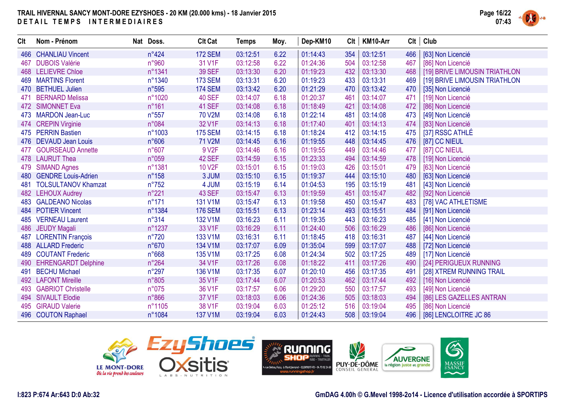

| <b>CIt</b> | Nom - Prénom               | Nat Doss.      | <b>Clt Cat</b>     | <b>Temps</b> | Moy. | Dep-KM10 | Clt | KM10-Arr | Clt | Club                          |
|------------|----------------------------|----------------|--------------------|--------------|------|----------|-----|----------|-----|-------------------------------|
|            | 466 CHANLIAU Vincent       | $n^{\circ}424$ | <b>172 SEM</b>     | 03:12:51     | 6.22 | 01:14:43 | 354 | 03:12:51 | 466 | [63] Non Licencié             |
|            | 467 DUBOIS Valérie         | n°960          | 31 V1F             | 03:12:58     | 6.22 | 01:24:36 | 504 | 03:12:58 | 467 | [86] Non Licencié             |
|            | 468 LELIEVRE Chloe         | n°1341         | <b>39 SEF</b>      | 03:13:30     | 6.20 | 01:19:23 | 432 | 03:13:30 | 468 | [19] BRIVE LIMOUSIN TRIATHLON |
|            | 469 MARTINS Florent        | n°1340         | <b>173 SEM</b>     | 03:13:31     | 6.20 | 01:19:23 | 433 | 03:13:31 | 469 | [19] BRIVE LIMOUSIN TRIATHLON |
|            | 470 BETHUEL Julien         | n°595          | <b>174 SEM</b>     | 03:13:42     | 6.20 | 01:21:29 | 470 | 03:13:42 | 470 | [35] Non Licencié             |
| 471        | <b>BERNARD Melissa</b>     | n°1020         | <b>40 SEF</b>      | 03:14:07     | 6.18 | 01:20:37 | 461 | 03:14:07 | 471 | [19] Non Licencié             |
| 472        | <b>SIMONNET Eva</b>        | $n^{\circ}161$ | 41 SEF             | 03:14:08     | 6.18 | 01:18:49 | 421 | 03:14:08 | 472 | [86] Non Licencié             |
|            | 473 MARDON Jean-Luc        | n°557          | 70 V2M             | 03:14:08     | 6.18 | 01:22:14 | 481 | 03:14:08 | 473 | [49] Non Licencié             |
|            | 474 CREPIN Virginie        | n°084          | 32 V1F             | 03:14:13     | 6.18 | 01:17:40 | 401 | 03:14:13 | 474 | [83] Non Licencié             |
|            | 475 PERRIN Bastien         | n°1003         | <b>175 SEM</b>     | 03:14:15     | 6.18 | 01:18:24 | 412 | 03:14:15 | 475 | [37] RSSC ATHLÉ               |
|            | 476 DEVAUD Jean Louis      | n°606          | 71 V2M             | 03:14:45     | 6.16 | 01:19:55 | 448 | 03:14:45 | 476 | [87] CC NIEUL                 |
| 477        | <b>GOURSEAUD Annette</b>   | n°607          | 9 V <sub>2</sub> F | 03:14:46     | 6.16 | 01:19:55 | 449 | 03:14:46 | 477 | [87] CC NIEUL                 |
|            | 478 LAURUT Thea            | n°059          | 42 SEF             | 03:14:59     | 6.15 | 01:23:33 | 494 | 03:14:59 | 478 | [19] Non Licencié             |
| 479        | <b>SIMAND Agnes</b>        | n°1381         | 10 V2F             | 03:15:01     | 6.15 | 01:19:03 | 426 | 03:15:01 | 479 | [63] Non Licencié             |
| 480        | <b>GENDRE Louis-Adrien</b> | n°158          | 3 JUM              | 03:15:10     | 6.15 | 01:19:37 | 444 | 03:15:10 | 480 | [63] Non Licencié             |
| 481        | <b>TOLSULTANOV Khamzat</b> | $n^{\circ}752$ | 4 JUM              | 03:15:19     | 6.14 | 01:04:53 | 195 | 03:15:19 | 481 | [43] Non Licencié             |
|            | 482 LEHOUX Audrey          | n°221          | <b>43 SEF</b>      | 03:15:47     | 6.13 | 01:19:59 | 451 | 03:15:47 | 482 | [92] Non Licencié             |
|            | 483 GALDEANO Nicolas       | $n^{\circ}171$ | 131 V1M            | 03:15:47     | 6.13 | 01:19:58 | 450 | 03:15:47 | 483 | [78] VAC ATHLETISME           |
|            | 484 POTIER Vincent         | n°1384         | <b>176 SEM</b>     | 03:15:51     | 6.13 | 01:23:14 | 493 | 03:15:51 | 484 | [91] Non Licencié             |
| 485        | <b>VERNEAU Laurent</b>     | $n^{\circ}314$ | 132 V1M            | 03:16:23     | 6.11 | 01:19:35 | 443 | 03:16:23 | 485 | [41] Non Licencié             |
| 486        | <b>JEUDY Magali</b>        | n°1237         | 33 V1F             | 03:16:29     | 6.11 | 01:24:40 | 506 | 03:16:29 | 486 | [86] Non Licencié             |
| 487        | <b>LORENTIN François</b>   | $n^{\circ}720$ | 133 V1M            | 03:16:31     | 6.11 | 01:18:45 | 418 | 03:16:31 | 487 | [44] Non Licencié             |
|            | 488 ALLARD Frederic        | n°670          | 134 V1M            | 03:17:07     | 6.09 | 01:35:04 | 599 | 03:17:07 | 488 | [72] Non Licencié             |
| 489        | <b>COUTANT Frederic</b>    | n°668          | 135 V1M            | 03:17:25     | 6.08 | 01:24:34 | 502 | 03:17:25 | 489 | [17] Non Licencié             |
| 490        | <b>EHRENGARDT Delphine</b> | $n^{\circ}264$ | 34 V1F             | 03:17:26     | 6.08 | 01:18:22 | 411 | 03:17:26 | 490 | [24] PERIGUEUX RUNNING        |
| 491        | <b>BECHU Michael</b>       | $n^{\circ}297$ | 136 V1M            | 03:17:35     | 6.07 | 01:20:10 | 456 | 03:17:35 | 491 | [28] XTREM RUNNING TRAIL      |
|            | 492 LAFONT Mireille        | n°805          | 35 V1F             | 03:17:44     | 6.07 | 01:20:53 | 462 | 03:17:44 | 492 | [16] Non Licencié             |
| 493        | <b>GABRIOT Christelle</b>  | n°075          | 36 V1F             | 03:17:57     | 6.06 | 01:29:20 | 550 | 03:17:57 | 493 | [49] Non Licencié             |
| 494        | <b>SIVAULT Elodie</b>      | $n^{\circ}866$ | 37 V1F             | 03:18:03     | 6.06 | 01:24:36 | 505 | 03:18:03 | 494 | [86] LES GAZELLES ANTRAN      |
|            | 495 GIRAUD Valerie         | n°1105         | 38 V1F             | 03:19:04     | 6.03 | 01:25:12 | 516 | 03:19:04 | 495 | [86] Non Licencié             |
|            | 496 COUTON Raphael         | n°1084         | 137 V1M            | 03:19:04     | 6.03 | 01:24:43 | 508 | 03:19:04 | 496 | [86] LENCLOITRE JC 86         |



**GmDAG 4.00h © G.Mevel 1998-2o14 - Licence d'utilisation accordée à SPORTIPS**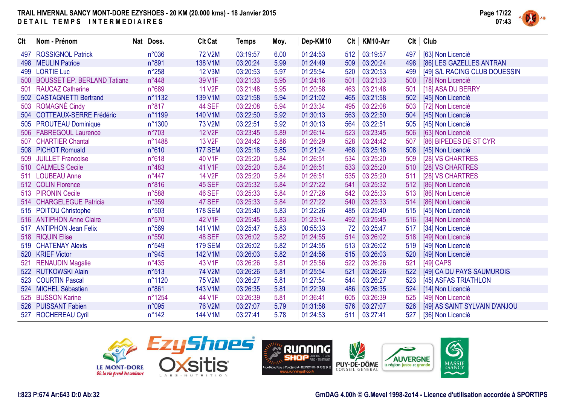

| <b>Clt</b> | Nom - Prénom                       | Nat Doss.      | <b>Clt Cat</b>      | <b>Temps</b> | Moy. | Dep-KM10 | <b>CIt</b> | KM10-Arr | Clt | Club                          |
|------------|------------------------------------|----------------|---------------------|--------------|------|----------|------------|----------|-----|-------------------------------|
| 497        | <b>ROSSIGNOL Patrick</b>           | n°036          | <b>72 V2M</b>       | 03:19:57     | 6.00 | 01:24:53 | 512        | 03:19:57 | 497 | [63] Non Licencié             |
|            | 498 MEULIN Patrice                 | n°891          | 138 V1M             | 03:20:24     | 5.99 | 01:24:49 | 509        | 03:20:24 | 498 | [86] LES GAZELLES ANTRAN      |
|            | 499 LORTIE Luc                     | $n^{\circ}258$ | <b>12 V3M</b>       | 03:20:53     | 5.97 | 01:25:54 | 520        | 03:20:53 | 499 | [49] S/L RACING CLUB DOUESSIN |
| 500        | <b>BOUSSET EP. BERLAND Tatiana</b> | n°448          | 39 V1F              | 03:21:33     | 5.95 | 01:24:16 | 501        | 03:21:33 | 500 | [78] Non Licencié             |
| 501        | <b>RAUCAZ Catherine</b>            | n°689          | 11 V <sub>2</sub> F | 03:21:48     | 5.95 | 01:20:58 | 463        | 03:21:48 | 501 | [18] ASA DU BERRY             |
| 502        | <b>CASTAGNETTI Bertrand</b>        | n°1132         | 139 V1M             | 03:21:58     | 5.94 | 01:21:02 | 465        | 03:21:58 | 502 | [45] Non Licencié             |
| 503        | <b>ROMAGNÉ Cindy</b>               | $n^{\circ}817$ | 44 SEF              | 03:22:08     | 5.94 | 01:23:34 | 495        | 03:22:08 | 503 | [72] Non Licencié             |
| 504        | <b>COTTEAUX-SERRE Frédéric</b>     | n°1199         | 140 V1M             | 03:22:50     | 5.92 | 01:30:13 | 563        | 03:22:50 | 504 | [45] Non Licencié             |
|            | 505 PROUTEAU Dominique             | n°1300         | <b>73 V2M</b>       | 03:22:51     | 5.92 | 01:30:13 | 564        | 03:22:51 | 505 | [45] Non Licencié             |
|            | 506 FABREGOUL Laurence             | $n^{\circ}703$ | <b>12 V2F</b>       | 03:23:45     | 5.89 | 01:26:14 | 523        | 03:23:45 | 506 | [63] Non Licencié             |
| 507        | <b>CHARTIER Chantal</b>            | n°1488         | 13 V <sub>2</sub> F | 03:24:42     | 5.86 | 01:26:29 | 528        | 03:24:42 | 507 | [86] BIPEDES DE ST CYR        |
|            | 508 PICHOT Romuald                 | n°610          | <b>177 SEM</b>      | 03:25:18     | 5.85 | 01:21:24 | 468        | 03:25:18 | 508 | [45] Non Licencié             |
| 509        | <b>JUILLET Francoise</b>           | n°618          | 40 V1F              | 03:25:20     | 5.84 | 01:26:51 | 534        | 03:25:20 | 509 | [28] VS CHARTRES              |
|            | 510 CALMELS Cecile                 | n°483          | 41 V1F              | 03:25:20     | 5.84 | 01:26:51 | 533        | 03:25:20 | 510 | [28] VS CHARTRES              |
|            | 511 LOUBEAU Anne                   | $n^{\circ}447$ | <b>14 V2F</b>       | 03:25:20     | 5.84 | 01:26:51 | 535        | 03:25:20 | 511 | [28] VS CHARTRES              |
|            | 512 COLIN Florence                 | n°816          | 45 SEF              | 03:25:32     | 5.84 | 01:27:22 | 541        | 03:25:32 | 512 | [86] Non Licencié             |
|            | 513 PIRONIN Cecile                 | n°588          | <b>46 SEF</b>       | 03:25:33     | 5.84 | 01:27:26 | 542        | 03:25:33 | 513 | [86] Non Licencié             |
|            | 514 CHARGELEGUE Patricia           | n°359          | 47 SEF              | 03:25:33     | 5.84 | 01:27:22 | 540        | 03:25:33 | 514 | [86] Non Licencié             |
|            | 515 POITOU Christophe              | n°503          | <b>178 SEM</b>      | 03:25:40     | 5.83 | 01:22:26 | 485        | 03:25:40 | 515 | [45] Non Licencié             |
|            | 516 ANTIPHON Anne Claire           | n°570          | 42 V1F              | 03:25:45     | 5.83 | 01:23:14 | 492        | 03:25:45 | 516 | [34] Non Licencié             |
| 517        | <b>ANTIPHON Jean Felix</b>         | n°569          | 141 V1M             | 03:25:47     | 5.83 | 00:55:33 | 72         | 03:25:47 | 517 | [34] Non Licencié             |
|            | 518 RIQUIN Elise                   | n°550          | 48 SEF              | 03:26:02     | 5.82 | 01:24:55 | 514        | 03:26:02 | 518 | [49] Non Licencié             |
|            | 519 CHATENAY Alexis                | n°549          | <b>179 SEM</b>      | 03:26:02     | 5.82 | 01:24:55 | 513        | 03:26:02 | 519 | [49] Non Licencié             |
| 520        | <b>KRIEF Victor</b>                | n°945          | 142 V1M             | 03:26:03     | 5.82 | 01:24:56 | 515        | 03:26:03 | 520 | [49] Non Licencié             |
| 521        | <b>RENAUDIN Magalie</b>            | $n^{\circ}435$ | 43 V1F              | 03:26:26     | 5.81 | 01:25:56 | 522        | 03:26:26 | 521 | [49] CAPS                     |
|            | 522 RUTKOWSKI Alain                | n°513          | 74 V2M              | 03:26:26     | 5.81 | 01:25:54 | 521        | 03:26:26 | 522 | [49] CA DU PAYS SAUMUROIS     |
| 523        | <b>COURTIN Pascal</b>              | n°1120         | <b>75 V2M</b>       | 03:26:27     | 5.81 | 01:27:54 | 544        | 03:26:27 | 523 | [45] ASFAS TRIATHLON          |
| 524        | <b>MICHEL Sébastien</b>            | n°861          | 143 V1M             | 03:26:35     | 5.81 | 01:22:39 | 486        | 03:26:35 | 524 | [14] Non Licencié             |
|            | 525 BUSSON Karine                  | n°1254         | 44 V1F              | 03:26:39     | 5.81 | 01:36:41 | 605        | 03:26:39 | 525 | [49] Non Licencié             |
|            | 526 PUISSANT Fabien                | n°095          | 76 V2M              | 03:27:07     | 5.79 | 01:31:58 | 576        | 03:27:07 | 526 | [49] AS SAINT SYLVAIN D'ANJOU |
|            | 527 ROCHEREAU Cyril                | $n^{\circ}142$ | 144 V1M             | 03:27:41     | 5.78 | 01:24:53 | 511        | 03:27:41 | 527 | [36] Non Licencié             |



**GmDAG 4.00h © G.Mevel 1998-2o14 - Licence d'utilisation accordée à SPORTIPS**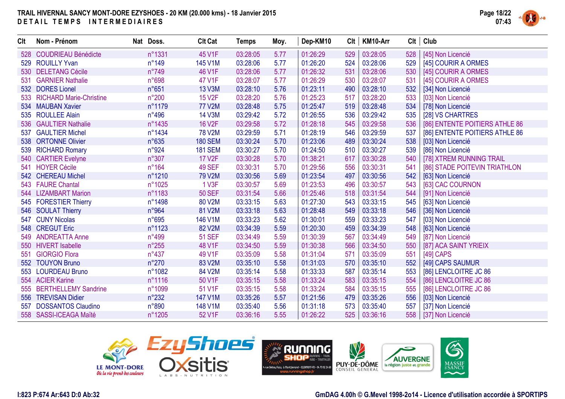

| <b>Clt</b> | Nom - Prénom                | Nat Doss.      | <b>Clt Cat</b> | <b>Temps</b> | Moy. | Dep-KM10 | Clt | KM10-Arr | Clt | Club                           |
|------------|-----------------------------|----------------|----------------|--------------|------|----------|-----|----------|-----|--------------------------------|
| 528        | <b>COUDRIEAU Bénédicte</b>  | n°1331         | 45 V1F         | 03:28:05     | 5.77 | 01:26:29 | 529 | 03:28:05 | 528 | [45] Non Licencié              |
|            | 529 ROUILLY Yvan            | n°149          | 145 V1M        | 03:28:06     | 5.77 | 01:26:20 | 524 | 03:28:06 | 529 | [45] COURIR A ORMES            |
|            | 530 DELETANG Cécile         | n°749          | 46 V1F         | 03:28:06     | 5.77 | 01:26:32 | 531 | 03:28:06 | 530 | [45] COURIR A ORMES            |
| 531        | <b>GARNIER Nathalie</b>     | n°698          | 47 V1F         | 03:28:07     | 5.77 | 01:26:29 | 530 | 03:28:07 | 531 | [45] COURIR A ORMES            |
|            | 532 DORES Lionel            | n°651          | 13 V3M         | 03:28:10     | 5.76 | 01:23:11 | 490 | 03:28:10 | 532 | [34] Non Licencié              |
|            | 533 RICHARD Marie-Christine | $n^{\circ}200$ | <b>15 V2F</b>  | 03:28:20     | 5.76 | 01:25:23 | 517 | 03:28:20 | 533 | [03] Non Licencié              |
| 534        | <b>MAUBAN Xavier</b>        | n°1179         | <b>77 V2M</b>  | 03:28:48     | 5.75 | 01:25:47 | 519 | 03:28:48 | 534 | [78] Non Licencié              |
| 535        | <b>ROULLEE Alain</b>        | $n^{\circ}496$ | <b>14 V3M</b>  | 03:29:42     | 5.72 | 01:26:55 | 536 | 03:29:42 | 535 | [28] VS CHARTRES               |
|            | 536 GAULTIER Nathalie       | n°1435         | <b>16 V2F</b>  | 03:29:58     | 5.72 | 01:28:18 | 545 | 03:29:58 | 536 | [86] ENTENTE POITIERS ATHLE 86 |
| 537        | <b>GAULTIER Michel</b>      | n°1434         | <b>78 V2M</b>  | 03:29:59     | 5.71 | 01:28:19 | 546 | 03:29:59 | 537 | [86] ENTENTE POITIERS ATHLE 86 |
|            | 538 ORTONNE Olivier         | $n^{\circ}635$ | <b>180 SEM</b> | 03:30:24     | 5.70 | 01:23:06 | 489 | 03:30:24 | 538 | [03] Non Licencié              |
|            | 539 RICHARD Romary          | n°924          | <b>181 SEM</b> | 03:30:27     | 5.70 | 01:24:50 | 510 | 03:30:27 | 539 | [86] Non Licencié              |
|            | 540 CARTIER Evelyne         | n°307          | <b>17 V2F</b>  | 03:30:28     | 5.70 | 01:38:21 | 617 | 03:30:28 | 540 | [78] XTREM RUNNING TRAIL       |
|            | 541 HOYER Cécile            | $n^{\circ}164$ | <b>49 SEF</b>  | 03:30:31     | 5.70 | 01:29:56 | 556 | 03:30:31 | 541 | [86] STADE POITEVIN TRIATHLON  |
|            | 542 CHEREAU Michel          | n°1210         | 79 V2M         | 03:30:56     | 5.69 | 01:23:54 | 497 | 03:30:56 | 542 | [63] Non Licencié              |
|            | 543 FAURE Chantal           | n°1025         | 1 V3F          | 03:30:57     | 5.69 | 01:23:53 | 496 | 03:30:57 | 543 | [63] CAC COURNON               |
|            | 544 LIZAMBART Marion        | n°1183         | <b>50 SEF</b>  | 03:31:54     | 5.66 | 01:25:46 | 518 | 03:31:54 | 544 | [91] Non Licencié              |
|            | 545 FORESTIER Thierry       | n°1498         | 80 V2M         | 03:33:15     | 5.63 | 01:27:30 | 543 | 03:33:15 | 545 | [63] Non Licencié              |
|            | 546 SOULAT Thierry          | n°964          | 81 V2M         | 03:33:18     | 5.63 | 01:28:48 | 549 | 03:33:18 | 546 | [36] Non Licencié              |
|            | 547 CUNY Nicolas            | n°695          | 146 V1M        | 03:33:23     | 5.62 | 01:30:01 | 559 | 03:33:23 | 547 | [03] Non Licencié              |
| 548        | <b>CREGUT Eric</b>          | n°1123         | 82 V2M         | 03:34:39     | 5.59 | 01:20:30 | 459 | 03:34:39 | 548 | [63] Non Licencié              |
|            | 549 ANDREATTA Anne          | n°499          | <b>51 SEF</b>  | 03:34:49     | 5.59 | 01:30:39 | 567 | 03:34:49 | 549 | [87] Non Licencié              |
|            | 550 HIVERT Isabelle         | $n^{\circ}255$ | 48 V1F         | 03:34:50     | 5.59 | 01:30:38 | 566 | 03:34:50 | 550 | [87] ACA SAINT YRIEIX          |
| 551        | <b>GIORGIO Flora</b>        | $n^{\circ}437$ | 49 V1F         | 03:35:09     | 5.58 | 01:31:04 | 571 | 03:35:09 | 551 | [49] CAPS                      |
|            | 552 TOUYON Bruno            | $n^{\circ}270$ | 83 V2M         | 03:35:10     | 5.58 | 01:31:03 | 570 | 03:35:10 | 552 | [49] CAPS SAUMUR               |
|            | 553 LOURDEAU Bruno          | n°1082         | 84 V2M         | 03:35:14     | 5.58 | 01:33:33 | 587 | 03:35:14 | 553 | [86] LENCLOITRE JC 86          |
|            | 554 ACIER Karine            | n°1116         | 50 V1F         | 03:35:15     | 5.58 | 01:33:24 | 583 | 03:35:15 | 554 | [86] LENCLOITRE JC 86          |
| 555        | <b>BERTHELLEMY Sandrine</b> | n°1099         | 51 V1F         | 03:35:15     | 5.58 | 01:33:24 | 584 | 03:35:15 | 555 | [86] LENCLOITRE JC 86          |
| 556        | <b>TREVISAN Didier</b>      | $n^{\circ}232$ | 147 V1M        | 03:35:26     | 5.57 | 01:21:56 | 479 | 03:35:26 | 556 | [03] Non Licencié              |
| 557        | <b>DOSSANTOS Claudino</b>   | n°890          | 148 V1M        | 03:35:40     | 5.56 | 01:31:18 | 573 | 03:35:40 | 557 | [37] Non Licencié              |
|            | 558 SASSI-ICEAGA Maïté      | n°1205         | 52 V1F         | 03:36:16     | 5.55 | 01:26:22 | 525 | 03:36:16 |     | 558   [37] Non Licencié        |



**GmDAG 4.00h © G.Mevel 1998-2o14 - Licence d'utilisation accordée à SPORTIPS**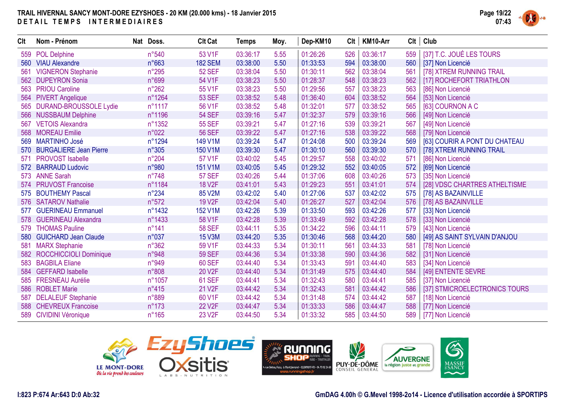

| <b>Clt</b> | Nom - Prénom                  | Nat Doss.       | <b>Clt Cat</b>      | <b>Temps</b> | Moy. | Dep-KM10 | Clt | KM10-Arr | <b>CIt</b> | Club                          |
|------------|-------------------------------|-----------------|---------------------|--------------|------|----------|-----|----------|------------|-------------------------------|
| 559        | <b>POL Delphine</b>           | n°540           | 53 V1F              | 03:36:17     | 5.55 | 01:26:26 | 526 | 03:36:17 | 559        | [37] T.C. JOUÉ LES TOURS      |
| 560        | <b>VIAU Alexandre</b>         | n°663           | <b>182 SEM</b>      | 03:38:00     | 5.50 | 01:33:53 | 594 | 03:38:00 | 560        | [37] Non Licencié             |
| 561        | <b>VIGNERON Stephanie</b>     | $n^{\circ}295$  | <b>52 SEF</b>       | 03:38:04     | 5.50 | 01:30:11 | 562 | 03:38:04 | 561        | [78] XTREM RUNNING TRAIL      |
| 562        | <b>DUPEYRON Sonia</b>         | n°699           | 54 V1F              | 03:38:23     | 5.50 | 01:28:37 | 548 | 03:38:23 | 562        | [17] ROCHEFORT TRIATHLON      |
| 563        | <b>PRIOU Caroline</b>         | $n^{\circ}262$  | 55 V1F              | 03:38:23     | 5.50 | 01:29:56 | 557 | 03:38:23 | 563        | [86] Non Licencié             |
| 564        | <b>PIVERT Angelique</b>       | n°1264          | <b>53 SEF</b>       | 03:38:52     | 5.48 | 01:36:40 | 604 | 03:38:52 | 564        | [53] Non Licencié             |
| 565        | <b>DURAND-BROUSSOLE Lydie</b> | n°1117          | 56 V1F              | 03:38:52     | 5.48 | 01:32:01 | 577 | 03:38:52 | 565        | [63] COURNON A C              |
|            | 566 NUSSBAUM Delphine         | n°1196          | <b>54 SEF</b>       | 03:39:16     | 5.47 | 01:32:37 | 579 | 03:39:16 | 566        | [49] Non Licencié             |
| 567        | <b>VETOIS Alexandra</b>       | n°1352          | <b>55 SEF</b>       | 03:39:21     | 5.47 | 01:27:16 | 539 | 03:39:21 | 567        | [49] Non Licencié             |
|            | 568 MOREAU Emilie             | n°022           | <b>56 SEF</b>       | 03:39:22     | 5.47 | 01:27:16 | 538 | 03:39:22 | 568        | [79] Non Licencié             |
| 569        | <b>MARTINHO José</b>          | n°1294          | 149 V1M             | 03:39:24     | 5.47 | 01:24:08 | 500 | 03:39:24 | 569        | [63] COURIR A PONT DU CHATEAU |
| 570        | <b>BURGALIERE Jean Pierre</b> | n°305           | 150 V1M             | 03:39:30     | 5.47 | 01:30:10 | 560 | 03:39:30 | 570        | [78] XTREM RUNNING TRAIL      |
| 571        | <b>PROVOST Isabelle</b>       | n°204           | 57 V1F              | 03:40:02     | 5.45 | 01:29:57 | 558 | 03:40:02 | 571        | [86] Non Licencié             |
| 572        | <b>BARRAUD Ludovic</b>        | n°980           | 151 V1M             | 03:40:05     | 5.45 | 01:29:32 | 552 | 03:40:05 | 572        | [69] Non Licencié             |
|            | 573 ANNE Sarah                | $n^{\circ}748$  | <b>57 SEF</b>       | 03:40:26     | 5.44 | 01:37:06 | 608 | 03:40:26 | 573        | [35] Non Licencié             |
|            | 574 PRUVOST Francoise         | n°1184          | <b>18 V2F</b>       | 03:41:01     | 5.43 | 01:29:23 | 551 | 03:41:01 | 574        | [28] VDSC CHARTRES ATHELTISME |
| 575        | <b>BOUTHEMY Pascal</b>        | $n^{\circ}234$  | 85 V2M              | 03:42:02     | 5.40 | 01:27:06 | 537 | 03:42:02 | 575        | [78] AS BAZAINVILLE           |
|            | 576 SATAROV Nathalie          | n°572           | 19 V2F              | 03:42:04     | 5.40 | 01:26:27 | 527 | 03:42:04 | 576        | [78] AS BAZAINVILLE           |
| 577        | <b>GUERINEAU Emmanuel</b>     | n°1432          | 152 V1M             | 03:42:26     | 5.39 | 01:33:50 | 593 | 03:42:26 | 577        | [33] Non Licencié             |
| 578        | <b>GUERINEAU Alexandra</b>    | n°1433          | 58 V1F              | 03:42:28     | 5.39 | 01:33:49 | 592 | 03:42:28 | 578        | [33] Non Licencié             |
| 579        | <b>THOMAS Pauline</b>         | $n^{\circ}$ 141 | <b>58 SEF</b>       | 03:44:11     | 5.35 | 01:34:22 | 596 | 03:44:11 | 579        | [43] Non Licencié             |
| 580        | <b>GUICHARD Jean Claude</b>   | n°037           | <b>15 V3M</b>       | 03:44:20     | 5.35 | 01:30:46 | 568 | 03:44:20 | 580        | [49] AS SAINT SYLVAIN D'ANJOU |
| 581        | <b>MARX Stephanie</b>         | n°362           | 59 V1F              | 03:44:33     | 5.34 | 01:30:11 | 561 | 03:44:33 | 581        | [78] Non Licencié             |
| 582        | <b>ROCCHICCIOLI Dominique</b> | n°948           | <b>59 SEF</b>       | 03:44:36     | 5.34 | 01:33:38 | 590 | 03:44:36 | 582        | [31] Non Licencié             |
| 583        | <b>BAGBILA Eliane</b>         | n°949           | <b>60 SEF</b>       | 03:44:40     | 5.34 | 01:33:43 | 591 | 03:44:40 | 583        | [34] Non Licencié             |
| 584        | <b>GEFFARD Isabelle</b>       | n°808           | 20 V <sub>2F</sub>  | 03:44:40     | 5.34 | 01:31:49 | 575 | 03:44:40 | 584        | [49] ENTENTE SEVRE            |
| 585        | <b>FRESNEAU Aurélie</b>       | n°1057          | <b>61 SEF</b>       | 03:44:41     | 5.34 | 01:32:43 | 580 | 03:44:41 | 585        | [37] Non Licencié             |
|            | 586 ROBLET Marie              | $n^{\circ}415$  | 21 V <sub>2</sub> F | 03:44:42     | 5.34 | 01:32:43 | 581 | 03:44:42 | 586        | [37] STMICROELECTRONICS TOURS |
| 587        | <b>DELALEUF Stephanie</b>     | n°889           | 60 V1F              | 03:44:42     | 5.34 | 01:31:48 | 574 | 03:44:42 | 587        | [18] Non Licencié             |
|            | 588 CHEVREUX Francoise        | $n^{\circ}173$  | 22 V <sub>2</sub> F | 03:44:47     | 5.34 | 01:33:33 | 586 | 03:44:47 | 588        | [77] Non Licencié             |
|            | 589 CIVIDINI Véronique        | $n^{\circ}165$  | 23 V <sub>2</sub> F | 03:44:50     | 5.34 | 01:33:32 | 585 | 03:44:50 | 589        | [77] Non Licencié             |





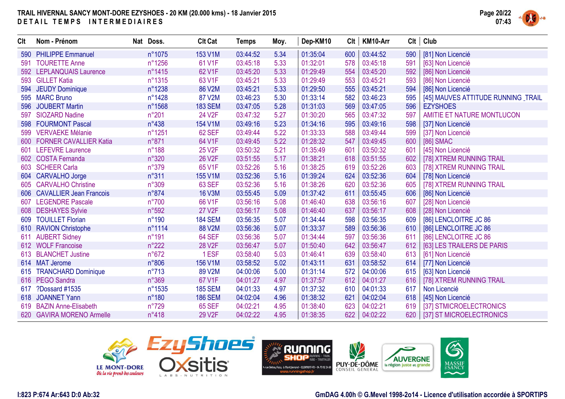

| <b>Clt</b> | Nom - Prénom                  | Nat Doss.      | <b>Clt Cat</b> | <b>Temps</b> | Moy. | Dep-KM10 | Clt | KM10-Arr | Clt | Club                               |
|------------|-------------------------------|----------------|----------------|--------------|------|----------|-----|----------|-----|------------------------------------|
| 590        | <b>PHILIPPE Emmanuel</b>      | n°1075         | 153 V1M        | 03:44:52     | 5.34 | 01:35:04 | 600 | 03:44:52 | 590 | [81] Non Licencié                  |
| 591        | <b>TOURETTE Anne</b>          | n°1256         | 61 V1F         | 03:45:18     | 5.33 | 01:32:01 | 578 | 03:45:18 | 591 | [63] Non Licencié                  |
|            | 592 LEPLANQUAIS Laurence      | n°1415         | 62 V1F         | 03:45:20     | 5.33 | 01:29:49 | 554 | 03:45:20 | 592 | [86] Non Licencié                  |
|            | 593 GILLET Katia              | n°1315         | 63 V1F         | 03:45:21     | 5.33 | 01:29:49 | 553 | 03:45:21 | 593 | [86] Non Licencié                  |
|            | 594 JEUDY Dominique           | n°1238         | 86 V2M         | 03:45:21     | 5.33 | 01:29:50 | 555 | 03:45:21 | 594 | [86] Non Licencié                  |
|            | 595 MARC Bruno                | n°1428         | 87 V2M         | 03:46:23     | 5.30 | 01:33:14 | 582 | 03:46:23 | 595 | [45] MAUVES ATTITUDE RUNNING TRAIL |
| 596        | <b>JOUBERT Martin</b>         | n°1568         | <b>183 SEM</b> | 03:47:05     | 5.28 | 01:31:03 | 569 | 03:47:05 | 596 | <b>EZYSHOES</b>                    |
| 597        | <b>SIOZARD Nadine</b>         | n°201          | 24 V2F         | 03:47:32     | 5.27 | 01:30:20 | 565 | 03:47:32 | 597 | AMITIE ET NATURE MONTLUCON         |
| 598        | <b>FOURMONT Pascal</b>        | $n^{\circ}438$ | 154 V1M        | 03:49:16     | 5.23 | 01:34:16 | 595 | 03:49:16 | 598 | [37] Non Licencié                  |
| 599        | <b>VERVAEKE Mélanie</b>       | n°1251         | 62 SEF         | 03:49:44     | 5.22 | 01:33:33 | 588 | 03:49:44 | 599 | [37] Non Licencié                  |
| 600        | <b>FORNER CAVALLIER Katia</b> | n°871          | 64 V1F         | 03:49:45     | 5.22 | 01:28:32 | 547 | 03:49:45 | 600 | [86] SMAC                          |
| 601        | <b>LEFEVRE Laurence</b>       | n°188          | 25 V2F         | 03:50:32     | 5.21 | 01:35:49 | 601 | 03:50:32 | 601 | [45] Non Licencié                  |
|            | 602 COSTA Fernanda            | n°320          | <b>26 V2F</b>  | 03:51:55     | 5.17 | 01:38:21 | 618 | 03:51:55 | 602 | [78] XTREM RUNNING TRAIL           |
|            | 603 SCHEER Carla              | n°379          | 65 V1F         | 03:52:26     | 5.16 | 01:38:25 | 619 | 03:52:26 | 603 | [78] XTREM RUNNING TRAIL           |
|            | 604 CARVALHO Jorge            | n°311          | 155 V1M        | 03:52:36     | 5.16 | 01:39:24 | 624 | 03:52:36 | 604 | [78] Non Licencié                  |
|            | 605 CARVALHO Christine        | n°309          | <b>63 SEF</b>  | 03:52:36     | 5.16 | 01:38:26 | 620 | 03:52:36 | 605 | [78] XTREM RUNNING TRAIL           |
|            | 606 CAVALLIER Jean Francois   | n°874          | <b>16 V3M</b>  | 03:55:45     | 5.09 | 01:37:42 | 611 | 03:55:45 | 606 | [86] Non Licencié                  |
| 607        | <b>LEGENDRE Pascale</b>       | $n^{\circ}700$ | 66 V1F         | 03:56:16     | 5.08 | 01:46:40 | 638 | 03:56:16 | 607 | [28] Non Licencié                  |
|            | 608 DESHAYES Sylvie           | n°592          | 27 V2F         | 03:56:17     | 5.08 | 01:46:40 | 637 | 03:56:17 | 608 | [28] Non Licencié                  |
| 609        | <b>TOUILLET Florian</b>       | $n^{\circ}190$ | <b>184 SEM</b> | 03:56:35     | 5.07 | 01:34:44 | 598 | 03:56:35 | 609 | [86] LENCLOITRE JC 86              |
|            | 610 RAVION Christophe         | n°1114         | 88 V2M         | 03:56:36     | 5.07 | 01:33:37 | 589 | 03:56:36 | 610 | [86] LENCLOITRE JC 86              |
| 611        | <b>AUBERT Sidney</b>          | $n^{\circ}191$ | 64 SEF         | 03:56:36     | 5.07 | 01:34:44 | 597 | 03:56:36 | 611 | [86] LENCLOITRE JC 86              |
|            | 612 WOLF Francoise            | $n^{\circ}222$ | <b>28 V2F</b>  | 03:56:47     | 5.07 | 01:50:40 | 642 | 03:56:47 | 612 | [63] LES TRAILERS DE PARIS         |
|            | 613 BLANCHET Justine          | n°672          | 1ESF           | 03:58:40     | 5.03 | 01:46:41 | 639 | 03:58:40 | 613 | [61] Non Licencié                  |
|            | 614 MAT Jerome                | n°806          | 156 V1M        | 03:58:52     | 5.02 | 01:43:11 | 631 | 03:58:52 | 614 | [77] Non Licencié                  |
|            | 615 TRANCHARD Dominique       | $n^{\circ}713$ | 89 V2M         | 04:00:06     | 5.00 | 01:31:14 | 572 | 04:00:06 | 615 | [63] Non Licencié                  |
|            | 616 PEGO Sandra               | n°369          | 67 V1F         | 04:01:27     | 4.97 | 01:37:57 | 612 | 04:01:27 | 616 | [78] XTREM RUNNING TRAIL           |
| 617        | ?Dossard #1535                | n°1535         | <b>185 SEM</b> | 04:01:33     | 4.97 | 01:37:32 | 610 | 04:01:33 | 617 | Non Licencié                       |
| 618        | <b>JOANNET Yann</b>           | $n^{\circ}180$ | <b>186 SEM</b> | 04:02:04     | 4.96 | 01:38:32 | 621 | 04:02:04 | 618 | [45] Non Licencié                  |
|            | 619 BAZIN Anne-Elisabeth      | $n^{\circ}729$ | <b>65 SEF</b>  | 04:02:21     | 4.95 | 01:38:40 | 623 | 04:02:21 | 619 | [37] STMICROELECTRONICS            |
|            | 620 GAVIRA MORENO Armelle     | $n^{\circ}418$ | 29 V2F         | 04:02:22     | 4.95 | 01:38:35 | 622 | 04:02:22 |     | 620   [37] ST MICROELECTRONICS     |





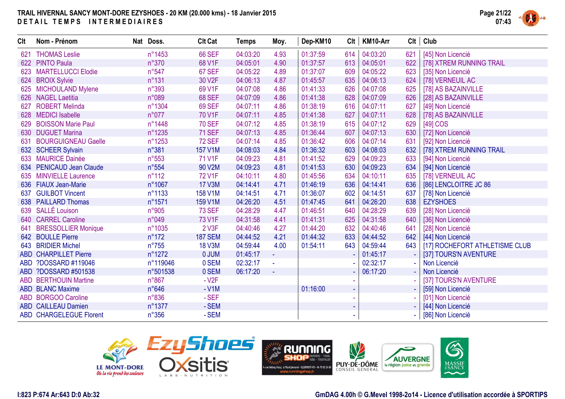

| Clt | Nom - Prénom                   | Nat Doss.      | <b>Clt Cat</b> | <b>Temps</b> | Moy.     | Dep-KM10 | Clt | KM10-Arr |     | Clt   Club                     |
|-----|--------------------------------|----------------|----------------|--------------|----------|----------|-----|----------|-----|--------------------------------|
| 621 | <b>THOMAS Leslie</b>           | n°1453         | <b>66 SEF</b>  | 04:03:20     | 4.93     | 01:37:59 | 614 | 04:03:20 | 621 | [45] Non Licencié              |
|     | 622 PINTO Paula                | $n^{\circ}370$ | 68 V1F         | 04:05:01     | 4.90     | 01:37:57 | 613 | 04:05:01 | 622 | [78] XTREM RUNNING TRAIL       |
| 623 | <b>MARTELLUCCI Elodie</b>      | $n^{\circ}547$ | 67 SEF         | 04:05:22     | 4.89     | 01:37:07 | 609 | 04:05:22 | 623 | [35] Non Licencié              |
|     | 624 BROIX Sylvie               | $n^{\circ}131$ | 30 V2F         | 04:06:13     | 4.87     | 01:45:57 | 635 | 04:06:13 | 624 | [78] VERNEUIL AC               |
|     | 625 MICHOULAND Mylene          | n°393          | 69 V1F         | 04:07:08     | 4.86     | 01:41:33 | 626 | 04:07:08 | 625 | [78] AS BAZAINVILLE            |
|     | 626 NAGEL Laetitia             | n°089          | <b>68 SEF</b>  | 04:07:09     | 4.86     | 01:41:38 | 628 | 04:07:09 | 626 | [28] AS BAZAINVILLE            |
| 627 | <b>ROBERT Melinda</b>          | n°1304         | 69 SEF         | 04:07:11     | 4.86     | 01:38:19 | 616 | 04:07:11 | 627 | [49] Non Licencié              |
| 628 | <b>MEDICI</b> Isabelle         | n°077          | 70 V1F         | 04:07:11     | 4.85     | 01:41:38 | 627 | 04:07:11 | 628 | [78] AS BAZAINVILLE            |
| 629 | <b>BOISSON Marie Paul</b>      | n°1448         | <b>70 SEF</b>  | 04:07:12     | 4.85     | 01:38:19 | 615 | 04:07:12 | 629 | [49] COS                       |
|     | 630 DUGUET Marina              | n°1235         | <b>71 SEF</b>  | 04:07:13     | 4.85     | 01:36:44 | 607 | 04:07:13 | 630 | [72] Non Licencié              |
| 631 | <b>BOURGUIGNEAU Gaelle</b>     | n°1253         | <b>72 SEF</b>  | 04:07:14     | 4.85     | 01:36:42 | 606 | 04:07:14 | 631 | [92] Non Licencié              |
|     | 632 SCHEER Sylvain             | n°381          | 157 V1M        | 04:08:03     | 4.84     | 01:36:32 | 603 | 04:08:03 | 632 | [78] XTREM RUNNING TRAIL       |
|     | 633 MAURICE Dainée             | $n^{\circ}553$ | 71 V1F         | 04:09:23     | 4.81     | 01:41:52 | 629 | 04:09:23 | 633 | [94] Non Licencié              |
| 634 | <b>PENICAUD Jean Claude</b>    | n°554          | 90 V2M         | 04:09:23     | 4.81     | 01:41:53 | 630 | 04:09:23 | 634 | [94] Non Licencié              |
| 635 | <b>MINVIELLE Laurence</b>      | $n^{\circ}112$ | 72 V1F         | 04:10:11     | 4.80     | 01:45:56 | 634 | 04:10:11 | 635 | [78] VERNEUIL AC               |
|     | 636 FIAUX Jean-Marie           | n°1067         | <b>17 V3M</b>  | 04:14:41     | 4.71     | 01:46:19 | 636 | 04:14:41 | 636 | [86] LENCLOITRE JC 86          |
| 637 | <b>GUILBOT Vincent</b>         | n°1133         | 158 V1M        | 04:14:51     | 4.71     | 01:36:07 | 602 | 04:14:51 | 637 | [78] Non Licencié              |
|     | 638 PAILLARD Thomas            | n°1571         | 159 V1M        | 04:26:20     | 4.51     | 01:47:45 | 641 | 04:26:20 | 638 | <b>EZYSHOES</b>                |
|     | 639 SALLÉ Louison              | n°905          | <b>73 SEF</b>  | 04:28:29     | 4.47     | 01:46:51 | 640 | 04:28:29 | 639 | [28] Non Licencié              |
|     | 640 CARREL Caroline            | n°049          | 73 V1F         | 04:31:58     | 4.41     | 01:41:31 | 625 | 04:31:58 | 640 | [36] Non Licencié              |
| 641 | <b>BRESSOLLIER Monique</b>     | n°1035         | 2 V3F          | 04:40:46     | 4.27     | 01:44:20 | 632 | 04:40:46 | 641 | [28] Non Licencié              |
|     | 642 BOULLE Pierre              | $n^{\circ}172$ | <b>187 SEM</b> | 04:44:52     | 4.21     | 01:44:32 | 633 | 04:44:52 | 642 | [44] Non Licencié              |
|     | 643 BRIDIER Michel             | $n^{\circ}755$ | <b>18 V3M</b>  | 04:59:44     | 4.00     | 01:54:11 | 643 | 04:59:44 | 643 | [17] ROCHEFORT ATHLETISME CLUB |
|     | <b>ABD CHARPILLET Pierre</b>   | n°1272         | 0 JUM          | 01:45:17     | ÷.       |          |     | 01:45:17 |     | [37] TOURS'N AVENTURE          |
|     | ABD ?DOSSARD #119046           | n°119046       | 0 SEM          | 02:32:17     | $\omega$ |          |     | 02:32:17 |     | Non Licencié                   |
|     | ABD ?DOSSARD #501538           | n°501538       | 0 SEM          | 06:17:20     | $\omega$ |          |     | 06:17:20 |     | Non Licencié                   |
|     | <b>ABD BERTHOUIN Martine</b>   | $n^{\circ}867$ | $-V2F$         |              |          |          |     |          |     | [37] TOURS'N AVENTURE          |
|     | <b>ABD BLANC Maxime</b>        | n°646          | $-V1M$         |              |          | 01:16:00 |     |          |     | [59] Non Licencié              |
|     | ABD BORGOO Caroline            | n°836          | $-SEF$         |              |          |          |     |          |     | [01] Non Licencié              |
|     | <b>ABD CAILLEAU Damien</b>     | n°1377         | - SEM          |              |          |          |     |          |     | [44] Non Licencié              |
|     | <b>ABD CHARGELEGUE Florent</b> | $n^{\circ}356$ | - SEM          |              |          |          |     |          |     | [86] Non Licencié              |